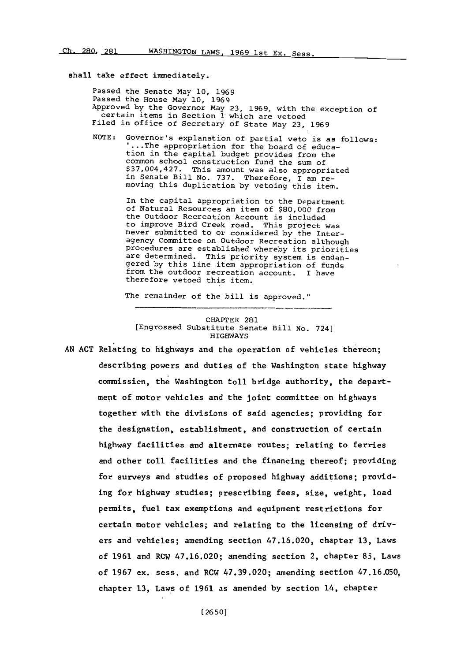## shall take effect immediately.

Passed the Senate May **10, 1969** Passed the House May **10, 1969** Approved **by** the Governor May **23, 1969,** with the exception of certain items in Section **1** which are vetoed Filed in office of Secretary of State May **23, 1969**

**NOTE:** Governor's explanation of partial veto is as follows: ...The appropriation for the board of education in the capital budget provides from the common school construction fund the sum of \$37,004,427. This amount was also appropriated in Senate Bill No. **737.** Therefore, I am re- moving this duplication **by** vetoing this item.

> In the capital appropriation to the Department of Natural Resources an item of **\$80,000** from the Outdoor Recreation Account is included to improve Bird Creek road. This project was never submitted to or considered **by** the Interagency Committee on Outdoor Recreation although procedures are established whereby its priorities are determined. This priority system is endangered by this line item appropriation of funds from the outdoor recreation account. I have therefore vetoed this item.

The remainder of the bill is approved."

CHAPTER 281 [Engrossed Substitute Senate Bill No. 724] HIGHWAYS

**AN ACT** Relating to highways and the operation of vehicles thereon; describing powers and duties of the Washington state highway commission, the Washington toll bridge authority, the department of motor vehicles and the joint committee on highways together with the divisions of said agencies; providing for the designation, establishment, and construction of certain highway facilities and alternate routes; relating to ferries and other toll facilities and the financing thereof; providing for surveys and studies of proposed highway additions; providing for highway studies; prescribing fees, size, weight, load permits, fuel tax exemptions and equipment restrictions for certain motor vehicles; and relating to the licensing of drivers and vehicles; amending section 47.16.020, chapter **13,** Laws of **1961** and RCW 47.16.020; amending section 2, chapter **85,** Laws of **1967** ex. sess. and RCW **47.39.020;** amending section **47.16.050,** chapter **13,** Laws of **1961** as amended **by** section 14, chapter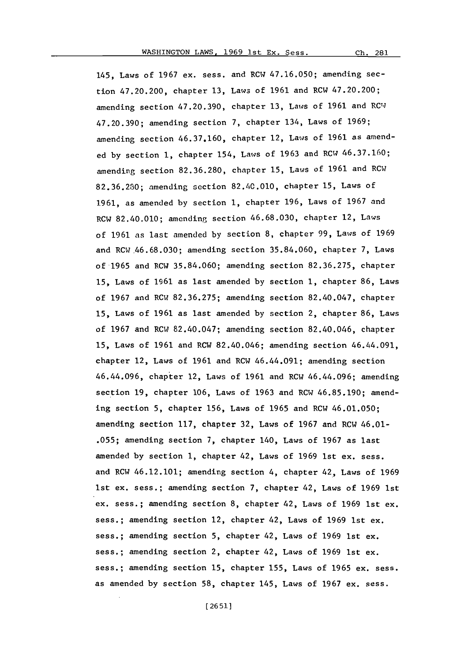Ch. 281

145, Laws of **1967** ex. sess. and RCOW **47.16.050;** amending section 47.20.200, chapter **13,** Laws of **1961** and RCW 47.20.200; amending section **47.20.390,** chapter **13,** Laws of **1961** and ROWJ **47.20.390;** amending section **7,** chapter 134, Laws of **1969;** amending section **46.37.160,** chapter 12, Laws of **1961** as amended **by** section **1,** chapter 154, Laws of **1963** and RCW **46.37.160;** amending section **82.36.280,** chapter **15,** Laws of **1961** and RCW **82.36.230;** amending section 82.40.010, chapter **15,** Laws of **1961,** as amended **by** section **1,** chapter **196,** Laws of **1967** and RCW 82.40.010; amending section **46.68.030,** chapter 12, Laws of **1961** as last amended **by** section **8,** chapter **99,** Laws of **1969** and RCW.46.68.030; amending section **35.84.060,** chapter **7,** Laws of **1965** and RCW **35.84.060;** amending section **82.36.275,** chapter **15,** Laws of **1961** as last amended **by** section **1,** chapter **86,** Laws of **1967** and ROW **82.36.275;** amending section 82.40.047, chapter **15,** Laws of **1961** as last amended **by** section 2, chapter **86,** Laws of **1967** and ROW 82.40.047; amending section 82.40.046, chapter **15,** Laws of **1961** and ROW 82.40.046; amending section 46.44.091, chapter 12, Laws of **1961** and ROW 46.44.091; amending section 46.44.096, chapter 12, Laws of **1961** and ROW 46.44.096; amending section **19,** chapter **106,** Laws of **1963** and ROW **46.85.190;** amending section **5,** chapter **156,** Laws of **1965** and ROW 46.01.050; amending section **117,** chapter **32,** Laws of **1967** and ROW 46.01- **.055;** amending section **7,** chapter 140, Laws of **1967** as last amended **by** section **1,** chapter 42, Laws of **1969** 1st ex. sess. and ROW 46.12.101; amending section 4, chapter 42, Laws of **1969** 1st ex. sess.; amending section **7,** chapter 42, Laws of **1969** 1st ex. sess.; amending section **8,** chapter 42, Laws of **1969** 1st ex. sess.; amending section 12, chapter 42, Laws of **1969** 1st ex. sess.; amending section **5,** chapter 42, Laws of **1969** 1st ex. sess.; amending section 2, chapter 42, Laws of **1969** 1st ex. sess.; amending section **15,** chapter **155,** Laws of **1965** ex. sess. as amended **by** section **58,** chapter 145, Laws of **1967** ex. sess.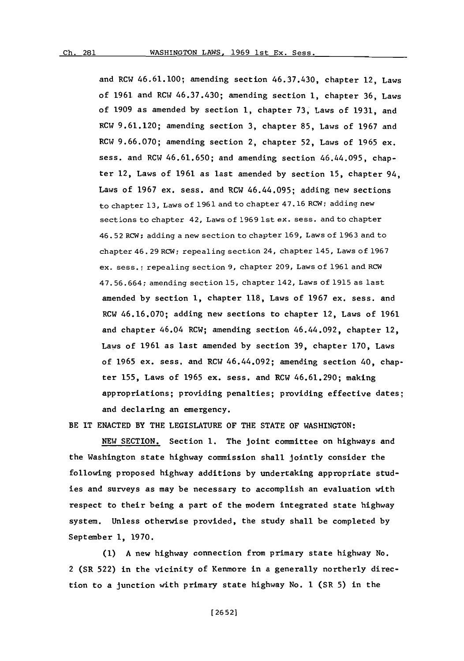and RCW 46.61.100; amending section 46.37.430, chapter 12, Laws of **1961** and RCW 46.37.430; amending section **1,** chapter **36,** Laws of **1909** as amended **by** section **1,** chapter **73,** Laws of **1931,** and RCW **9.61.120;** amending section **3,** chapter **85,** Laws of **1967** and RCW **9.66.070;** amending section 2, chapter **52,** Laws of **1965** ex. sess. and RCW **46.61.650;** and amending section 46.44.095, chapter 12, Laws of **1961** as last amended **by** section **15,** chapter 94, Laws of **1967** ex. sess. and RCW 46.44.095; adding new sections to chapter **13,** Laws of **1961** and to chapter 47. **16** RCW; adding new sections to chapter 42, Laws of **1969** 1st ex. sess. and to chapter 46. **52** RCW; adding a new section to chapter **169,** Laws of **1963** and to chapter 46. **29** RCW; repealing section 24, chapter 145, Laws of **1967** ex. sess. **;** repealing section **9,** chapter **209,** Laws of **1961** and RCW 47. **56.664;** amending section **15,** chapter 142, Laws of **1915** as last amended **by** section **1,** chapter **118,** Laws of **1967** ex. sess. and RCW **46.16.070;** adding new sections to chapter 12, Laws of **1961** and chapter 46.04 RCW; amending section 46.44.092, chapter 12, Laws of **1961** as last amended **by** section **39,** chapter **170,** Laws of **1965** ex. sess. and RCW 46.44.092; amending section 40, chapter **155,** Laws of **1965** ex. sess. and RCW 46.61.290; making appropriations; providing penalties; providing effective dates; and declaring an emergency.

BE IT **ENACTED** BY THE LEGISLATURE OF THE **STATE** OF WASHINGTON:

**NEW** SECTION. Section **1.** The joint committee on highways and the Washington state highway commission shall jointly consider the following proposed highway additions **by** undertaking appropriate studies and surveys as may be necessary to accomplish an evaluation with respect to their being a part of the modern integrated state highway system. Unless otherwise provided, the study shall be completed **by** September **1, 1970.**

**(1) A** new highway connection from primary state highway No. 2 (SR **522)** in the vicinity of Kenmore in a generally northerly direction to a junction with primary state highway No. **I** (SR **5)** in the

**[ 26 52]**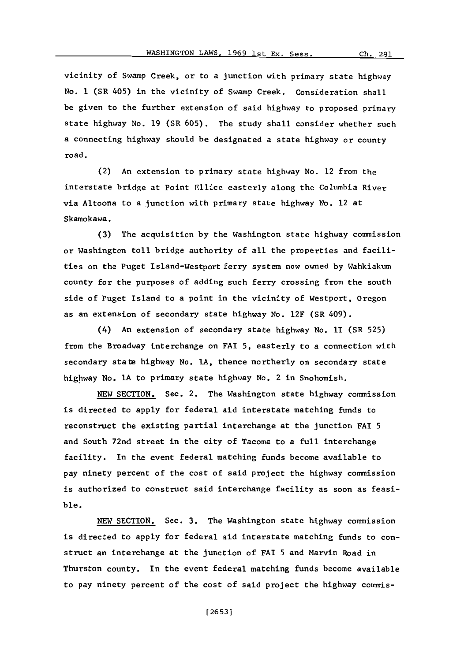vicinity of Swamp Creek, or to a junction with primary state highway No. **I** (SR 405) in the vicinity of Swamp Creek. Consideration shall be given to the further extension of said highway to proposed primary state highway No. **19** (SR **605).** The study shall consider whether such a connecting highway should be designated a state highway or county road.

(2) An extension to primary state highway No. 12 from the interstate bridge at Point Ellice easterly along the Columbia River via Altoona to a junction with primary state highway No. 12 at Skamokawa.

**(3)** The acquisition **by** the Washington state highway commission or Washington toll bridge authority of all the properties and facilities on the Puget Island-Westport ferry system now owned **by** Wahkiakum county for the purposes of adding such ferry crossing from the south side of Puget Island to a point in the vicinity of Westport, Oregon as an extension of secondary state highway No. 12F (SR 409).

(4) An extension of secondary state highway No. **11** (SR **525)** from the Broadway interchange on FAI **5,** easterly to a connection with secondary state highway No. **IA,** thence northerly on secondary state highway No. **IA** to primary state highway No. 2 in Snohomish.

**NEW** SECTION. Sec. 2. The Washington state highway commission is directed to apply for federal aid interstate matching funds to reconstruct the existing partial interchange at the junction FAI **5** and South 72nd street in the city of Tacoma to a full interchange facility. In the event federal matching funds become available to pay ninety percent of the cost of said project the highway commission is authorized to construct said interchange facility as soon as feasible.

**NEW** SECTION. Sec. **3.** The Washington state highway commission is directed to apply for federal aid interstate matching funds to construct an interchange at the junction of FAI **5** and Marvin Road in Thurston county. In the event federal matching funds become available to pay ninety percent of the cost of said project the highway commis-

**[26531**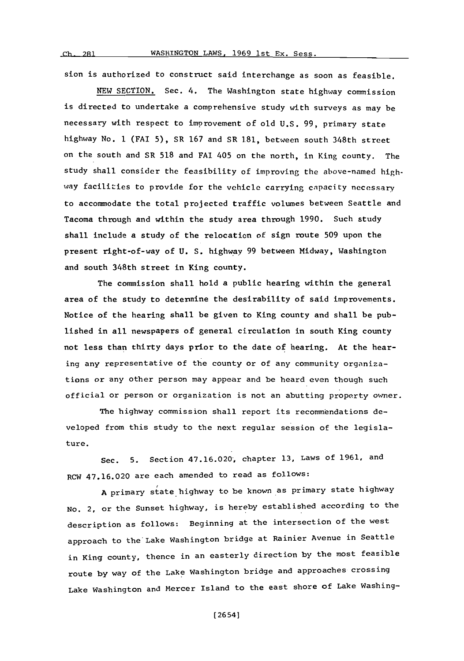**ch.** 281

sion is authorized to construct said interchange as soon as feasible.

**NEW** SECTION. Sec. 4. The Washington state highway commission is directed to undertake a comprehensive study with surveys as may be necessary with respect to improvement of old **U.S. 99,** primary state highway No. 1 (FAT **5),** SR **167** and SR **181,** between south 348th street on the south and SR **518** and FAT 405 on the north, in King county. The study shall consider the feasibility of improving the above-named highway facilities to provide for the vehicle carrying capacity necessary to accommodate the total projected traffic volumes between Seattle and Tacoma through and within the study area through **1990.** Such study shall include a study of the relocation of sign route **509** upon the present right-of-way of **U. S.** highway **99** between Midway, Washington and south 348th street in King county.

The commission shall hold a public hearing within the general area of the study to determine the desirability of said improvements. Notice of the hearing shall be given to King county and shall be published in all newspapers of general circulation in south King county not less than thirty days prior to the date of hearing. At the hearing any representative of the county or of any community organizations or any other person may appear and be heard even though such official or person or organization is not an abutting property owner.

The highway commission shall report its recommendations developed from this study to the next regular session of the legislature.

Sec. **5.** Section 47.16.020, chapter **13,** Laws of **1961,** and RCW 47.16.020 are each amended to read as follows:

**A** primary state highway to be known as primary state highway No. 2, or the Sunset highway, is hereby established according to the description as follows: Beginning at the intersection **of** the west approach to the Lake Washington bridge at Rainier Avenue in Seattle in King county, thence in an easterly direction **by** the most feasible route **by** way of the Lake Washington bridge and approaches crossing Lake Washington and Mercer Island to the east shore of Lake Washing-

[2654]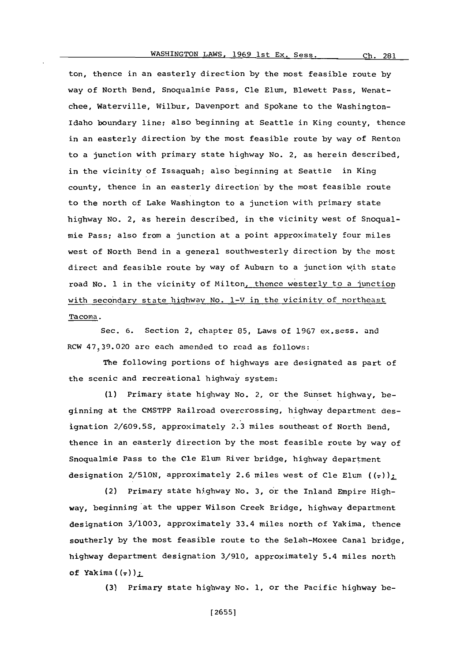ton, thence in an easterly direction **by** the most feasible route **by** way of North Bend, Snoqualmie Pass, Cle Elum, Blewett Pass, Wenatchee, Waterville, Wilbur, Davenport and Spokane to the Washington-Idaho boundary line; also beginning at Seattle in King county, thence in an easterly direction **by** the most feasible route **by** way of Renton to a junction with primary state highway No. 2, as herein described, in the vicinity of Issaquah; also beginning at Seattle in King county, thence in an easterly direction by the most feasible route to the north of Lake Washington to a junction with primary state highway No. 2, as herein described, in the vicinity west of Snoqualmie Pass; also from a junction at a point approximately four miles west of North Bend in a general southwesterly direction **by** the most direct and feasible route **by** way of Auburn to a junction with state road No. **1** in the vicinity of Milton, thence westerly to a junction with secondary state highway No. 1-V in the vicinity of northeast Tacoma.

Sec. **6.** Section 2, chapter **85,** Laws of **1967** ex.sess. and RCW **47.39.020** are each amended to read as follows:

The following portions of highways are designated as part of the scenic and recreational highway system:

**(1)** Primary state highway No. 2, or the Sunset highway, beginning at the CMSTPP Railroad overcrossing, highway department des<sup>i</sup>gnation **2/609.5S,** approximately 2. **3** miles southeast of North Bend, thence in an easterly direction **by** the most feasible route **by** way of Snoqualmie Pass to the Cle Elum River bridge, highway department designation **2/510N,** approximately **2.6** miles west of Cle Elum **(7)**

(2) Primary state highway No. **3,** or the Inland Empire Highway, beginning at the upper Wilson Creek Bridge, highway department designation **3/1003,** approximately 33.4 miles north of Yakima, thence southerly **by** the most feasible route to the Selah-Moxee Canal bridge, highway department designation **3/910.,** approximately 5.4 miles north of Yakima( **( <sup>7</sup> )),-**

**(3)** Primary state highway No. **1,** or the Pacific highway be-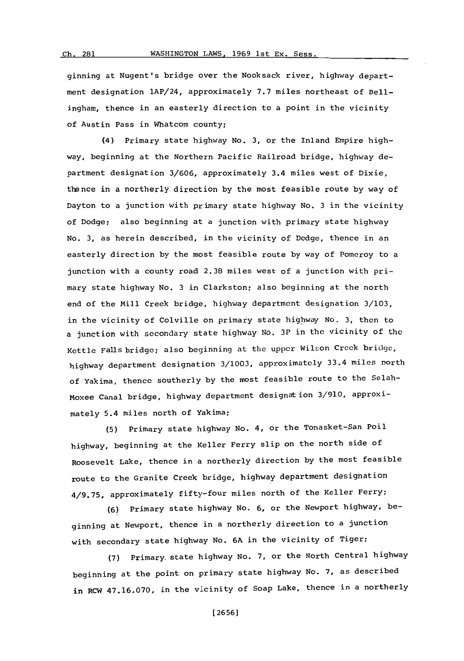ginning at Nugent's bridge over the Nooksack river, highway department designation lAP/24, approximately **7.7** miles northeast of Bellingham, thence in an easterly direction to a point in the vicinity of Austin Pass in Whatcom county;

(4) Primary state highway No. 3. or the Inland Empire highway, beginning at the Northern Pacific Railroad bridge, highway department designation 3/606, approximately 3.4 miles west of Dixie, thence in a northerly direction **by** the most feasible route **by** way of Dayton to a junction with primary state highway No. **3** in the vicinity of Dodge; also beginning at a junction with primary state highway No. 3. as herein described, in the vicinity of Dodge, thence in an easterly direction **by** the most feasible route **by** way of Pomeroy to a junction with a county road **2.38** miles west of a junction with primary state highway No. **3** in Clarkston; also beginning at the north end of the Mill Creek bridge, highway department designation **3/103,** in the vicinity of Colville on primary state highway **No. 3,** then to a junction with secondary state highway No. 3P in the vicinity of the Kettle Falls bridge; also beginning at the upper Wilson Creek bridge, highway department designation **3/1003,** approximately 33.4 miles north of Yakima, thence southerly **by** the most feasible route to the Selah-Moxee Canal bridge, highway department designation **3/910,** approximately 5.4 miles north **of** Yakima;

**(5)** Primary state highway No. 4, or the Tonasket-San Poil highway, beginning at the Keller Ferry slip on the north side of Roosevelt Lake, thence in a northerly direction **by** the most feasible route to the Granite Creek~ bridge, highway department designation **4/9.75,** approximately fifty-four miles north of the Keller Ferry;

**(6)** Primary state highway No. **6,** or the Newport highway, beginning at Newport, thence in a northerly direction to a junction with secondary state highway No. **6A** in the vicinity of Tiger;

**(7)** Primary, state highway No. **7,** or the North Central highway beginning at the point on primary state highway No. **7,** as described in RCW **47.16.070,** in the vicinity of Soap Lake, thence in a northerly

**[2656]**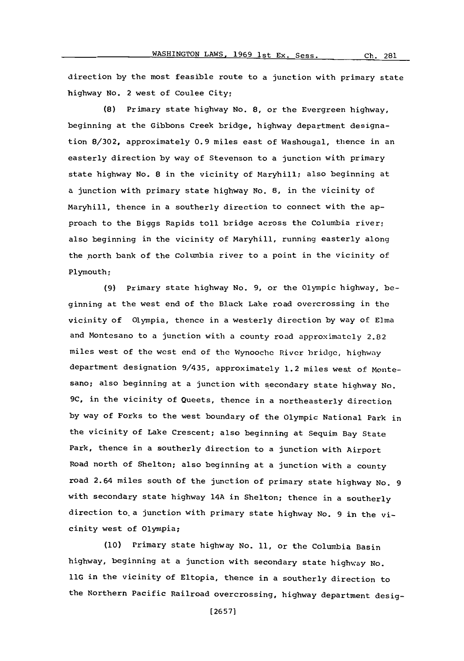direction **by** the most feasible route to a junction with primary state highway No. 2 west of Coulee City;

**(8)** Primary state highway No. **8,** or the Evergreen highway, beginning at the Gibbons Creek bridge, highway department designation **8/302,** approximately **0.9** miles east of Washougal, thence in an easterly direction **by** way of Stevenson to a junction with primary state highway No. **8** in the vicinity of Maryhill; also beginning at a junction with primary state highway No. **8,** in the vicinity of Maryhill, thence in a southerly direction to connect with the approach to the Biggs Rapids toll bridge across the Columbia river; also beginning in the vicinity of Maryhill, running easterly along the north bank of the Columbia river to a point in the vicinity of Plymouth;

**(9)** Primary state highway No. **9,** or the Olympic highway, beginning at the west end of the Black Lake road overcrossing in the vicinity of Olympia, thence in a westerly direction **by** way of Elma and Montesano to a junction with a county road approximately 2.82 miles west of the west end of the Wynooche River bridge, highway department designation 9/435, approximately 1.2 miles west **of** Montesano; also beginning at a junction with secondary state highway No. **9C,** in the vicinity of Queets, thence in a northeasterly direction **by** way of Forks to the west boundary of the Olympic National Park in the vicinity of Lake Crescent; also beginning at Sequim Bay State Park, thence in a southerly direction to a junction with Airport Road north of Shelton; also beginning at a junction with a county road 2.64 miles south **of** the junction **of** primary state highway No. **9** with secondary state highway 14A in Shelton; thence in a southerly direction to a junction with primary state highway No. **9** in the vicinity west of Olympia;

**(10)** Primary state highway No. **11,** or the Columbia Basin highway, beginning at a junction with secondary state highway No. **11G** in the vicinity **of** Eltopia, thence in a southerly direction to the Northern Pacific Railroad overcrossing, highway department desig-

**[26571**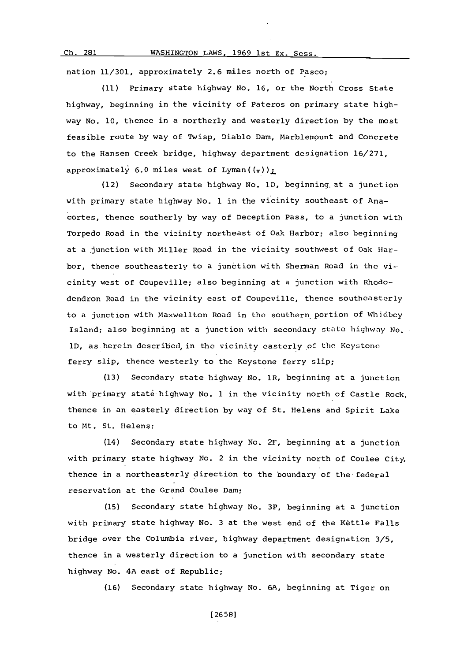#### **Ch.** 281 WASHINGTON LAWS, **1969** Ist **Ex.** Sess.

nation **11/301,** approximately **2.6** miles north of Pasco;

**(11)** Primary state highway No. **16,** or the North Cross State highway, beginning in the vicinity of Pateros on primary state highway No. **10,** thence in a northerly and westerly direction **by** the most feasible route **by** way of Twisp, Diablo Dam, Marblemount and Concrete to the Hansen Creek bridge, highway department designation **16/271,** approximately 6.0 miles west of Lyman( $(\tau)$ ):

(12) Secondary state highway No. **1D,** beginning~at a junction with primary state highway No. 1 in the vicinity southeast of Anacortes, thence southerly **by** way of Deception Pass, to a junction with Torpedo Road in the vicinity northeast of Oak Harbor; also beginning at a junction with Miller Road in the vicinity southwest of Oak Harbor, thence southeasterly to a junction with Sherman Road in the vicinity west of Coupeville; also beginning at a junction with Rhododendron Road in the vicinity east of Coupeville, thence southeasterly to a junction with Maxwellton Road in the southern portion **of Whidbey** Island; also beginning at a junction with secondary state highway No. 1D, as herein described, in the vicinity easterly of the Keystone ferry slip, thence westerly to the Keystone ferry slip;

**(13)** Secondary state highway No. 1R, beginning at a junction with'primary state highway No. **1** in the vicinity north of Castle Rock, thence in an easterly direction **by** way of St. Helens and Spirit Lake to Mt. St. Helens;

(14) Secondary state highway No. 2F, beginning at a junction with primary state highway No. 2 in the vicinity north of Coulee City, thence in a northeasterly direction to the boundary of the federal reservation at the Grand Coulee Dam;

**(15)** Secondary state highway No. 3P, beginning at a junction with primary state highway No. **3** at the west end of the Kettle Falls bridge over the Columbia river, highway department designation **3/5,** thence in a westerly direction to a junction with secondary state highway No. 4A east of Republic;

**(16)** Secondary state highway No. **6A,** beginning at Tiger on

**[2658]**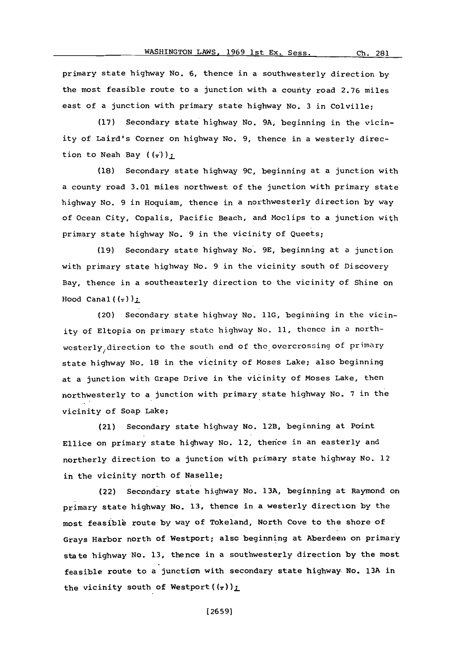primary state highway No. **6,** thence in a southwesterly direction **by** the most feasible route to a junction with a county road **2.76** miles east of a junction with primary state highway No. **3** in Colville;

**(17)** Secondary state highway No. **9A,** beginning in the vicinity of Laird's Corner on highway No. **9,** thence in a westerly direction to Neah Bay  $((\overline{\cdot}))_{\overline{\cdot}}$ 

**(18)** Secondary state highway **9C,** beginning at a junction with a county road **3.01** miles northwest of the junction with primary state highway No. **9** in Hoquiam, thence in a northwesterly direction **by** way of ocean City, Copalis, Pacific Beach, and Moclips to a junction with primary state highway No. **9** in the vicinity of Queets;

**(19)** Secondary state highway No. **9E,** beginning at a junction with primary state highway No. **9** in the vicinity south **of** Discovery Bay, thence in a southeasterly direction to the vicinity of Shine on Hood Canal $((\frac{1}{\tau}))$ ;

(20) Secondary state highway No. **llG,** beginning in the vicinity of Eltopia on primary state highway No. **11,** thence in a northwesterly, direction to the south end **of** the, ovorcrossing of primary state highway No. **18** in the vicinity of Moses Lake; also beginning at a junction with Grape Drive in the vicinity of Moses Lake, then northwesterly to **a** junction with primary state highway No. **7** in the vicinity of Soap Lake;

(21) Secondary state highway No. 12B, beginning at Point Ellice on primary state highway No. 12, thence in an easterly and northerly direction to a junction with primary state highway No. 12 in the vicinity north of Naselle;

(22) Secondary state highway No. 13A, beginning at Raymond on primary state highway No. 13, thence in a westerly direction by the most feasible route by way of Tokeland, North Cove to the shore of Grays Harbor north of Westport; also beginning at Aberdeen on primary state highway No. **13,** thence in a southwesterly direction **by** the most feasible route to a junctian with secondary state highway No. **13A** in the vicinity south of Westport  $((\tau))_{\text{L}}$ 

**[ 26 591**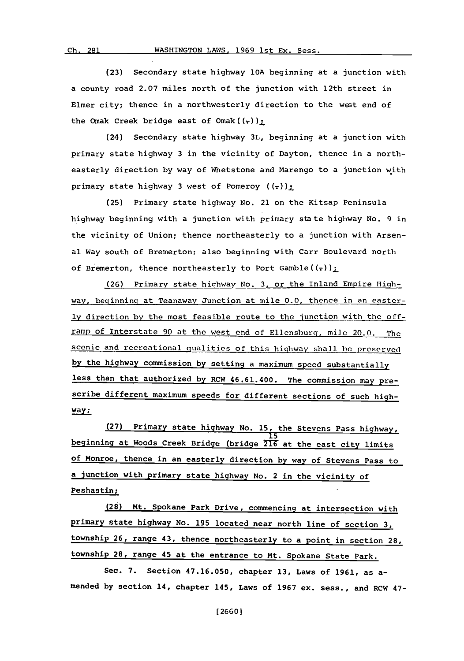**(23)** Secondary state highway **10A** beginning at a junction with a county road **2.07** miles north of the junction with 12th street in Elmer city; thence in a northwesterly direction to the west end of the Omak Creek bridge east of Omak $((\tau))$ ;

(24) Secondary state highway **3L,** beginning at a junction with primary state highway **3** in the vicinity of Dayton. thence in a northeasterly direction **by** way of Whetstone and Marengo to a junction with primary state highway 3 west of Pomeroy  $((z))_1$ 

**(25)** Primary state highway No. 21 on the Kitsap Peninsula highway beginning with a junction with primary state highway No. **9** in the vicinity of Union; thence northeasterly to a junction with Arsenal Way south of Bremerton; also beginning with Carr Boulevard north of Bremerton, thence northeasterly to Port Gamble((-))<sub>1</sub>

**(26)** Primary state highway No. **3.** or the Inland Empire Highway, beginning at Teanaway Junction at mile **0.0.** thence in an easter**ly** direction **by** the most feasible route to the junction with the offramp of Interstate **90** at the west end of Ellensburg, mile 20.0. The, scenic and recreational qualities of this highway shall be preserved **by** the highway commission **by** setting a maximum speed substantially less than that authorized **by** RCW 46.61.400. The commission may prescribe different maximum speeds for different sections of such highway;

**(27)** Primary state highway No. **15,** the Stevens Pass highway, **15** beginning at Woods Creek Bridge (bridge **216** at the east city limits **of** Monroe, thence in an easterly direction **by** way of Stevens Pass to a junction with primary state highway No. 2 in the vicinity of Peshastin;

**(28)** Mt. Spokane Park Drive, commencing at intersection with primary state highway No. **195** located near north line of section **3,** township **26,** range 43, thence northeasterly to a point in section **28,** township **28,** range 45 at the entrance to Mt. Spokane State Park.

Sec. **7.** Section **47.16.050,** chapter **13,** Laws of **1961,** as amended **by** section 14, chapter 145, Laws of **1967** ex. sess., and RCW 47-

**[ 2660]**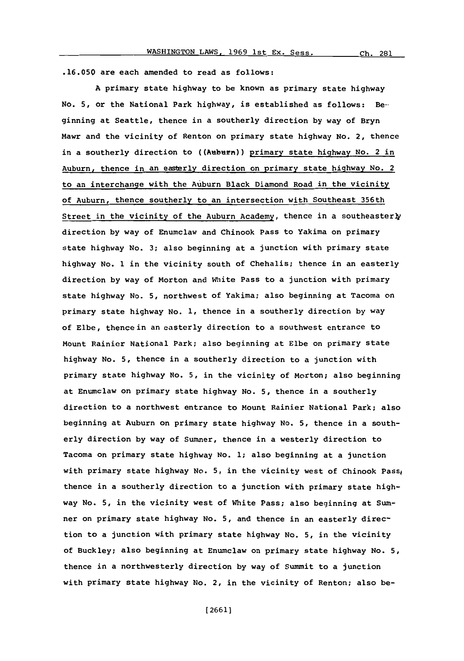**.16.050** are each amended to read as follows:

**A** primary state highway to be known as primary state highway No. **5,** or the National Park highway, is established as follows: Beginning at Seattle, thence in a southerly direction **by** way of Bryn Mawr and the vicinity of Renton on primary state highway **No.** 2, thence in a southerly direction to ((Auburn)) primary state highway No. 2 in Auburn, thence in an easterly direction on primary state highway No. 2 to an interchange with the Auburn Black Diamond Road in the vicinity of Auburn, thence southerly to an intersection with Southeast 356th Street in the vicinity of the Auburn Academy, thence in a southeasterly direction **by** way of Enumclaw and Chinook Pass to Yakima on primary state highway No. **3;** also beginning at a junction with primary state highway No. **1** in the vicinity south of Chehalis; thence in an easterly direction **by** way of Morton and White Pass to a junction with primary state highway No. **5,** northwest of Yakima; also beginning at Tacoma on primary state highway No. **1,** thence in a southerly direction **by** way of Elbe, thence in an easterly direction to a southwest entrance to Mount Rainier National Park; also beginning at Elbe on primary state highway No. **5,** thence in a southerly direction to a junction with primary state highway No. **5,** in the vicinity of Morton; also beginning at Enumclaw on primary state highway No. **5,** thence in a southerly direction to a northwest entrance to Mount Rainier National Park; also beginning at Auburn on primary state highway No. **5,** thence in a southerly direction **by** way of Sumner, thence in a westerly direction to Tacoma on primary state highway No. **1;** also beginning at a junction with primary state highway No. 5, in the vicinity west of Chinook Pass, thence in a southerly direction to a junction with primary state highway No. **5,** in the vicinity west of White Pass; also beginning at Sumner on primary state highway No. **5,** and thence in an easterly direction to a junction with primary state highway No. **5,** in the vicinity of Buckley; also beginning at Enumclaw on primary state highway No. **5,** thence in a northwesterly direction **by** way of Summit to a junction with primary state highway No. 2, in the vicinity of Renton; also be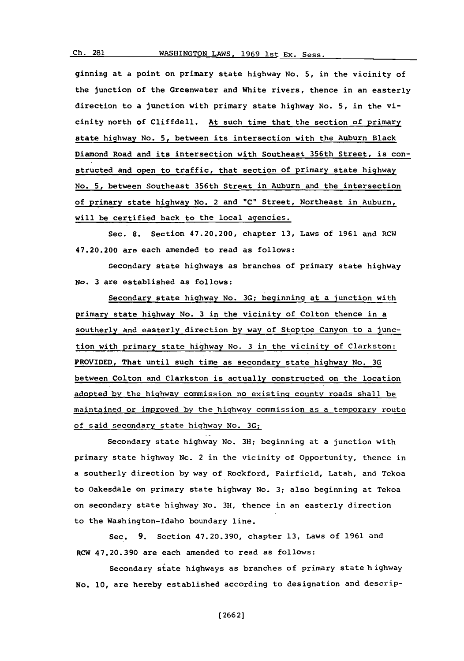ginning at a point on primary state highway No. **5,** in the vicinity of the junction of the Greenwater and White rivers, thence in an easterly direction to a junction with primary state highway No. **5,** in the vicinity north of Cliffdell. At such time that the section of primary

state highway No. 5, between its intersection with the Auburn Black Diamond Road and its intersection with Southeast 356th Street, is constructed and open to traffic, that section of primary state highway No. **5,** between Southeast 356th Street in Auburn and the intersection of primary state highway No. 2 and **"C"** Street, Northeast in Auburn, will be certified back to the local agencies.

Sec. **8.** Section 47.20.200, chapter **13,** Laws of **1961** and RCW 47.20.200 are each amended to read as follows:

Secondary state highways as branches of primary state highway No. **3** are established as follows:

Secondary state highway No. **3G;** beginning at a junction with primary state highway No. **3** in the vicinity of Colton thence in a southerly and easterly direction **by** way of Steptoe Canyon to a junction with primary state highway No. **3** in the vicinity of Clarkston: PROVIDED, That until such time as secondary state highway No. **3G** between Colton and Clarkston is actually constructed on the location adopted **by** the highway commission no existing county roads shall be maintained or improved **by** the highway commission as a temporary route of said secondary state highway No. **3G:**

Secondary state highway No. **3H;** beginning at a junction with primary state highway No. 2 in the vicinity of Opportunity, thence in a southerly direction **by** way of Rockford, Fairfield, Latah, and Tekoa to Oakesdale on primary state highway No. **3;** also beginning at Tekoa on secondary state highway No. **3H,** thence in an easterly direction to the Washington-Idaho boundary line.

Sec. **9.** Section **47.20.390,** chapter **13,** Laws of **1961** and RCW **47.20.390** are each amended to read as follows:

Secondary state highways as branches of primary state h ighway **No.** 10, are hereby established according to designation and descrip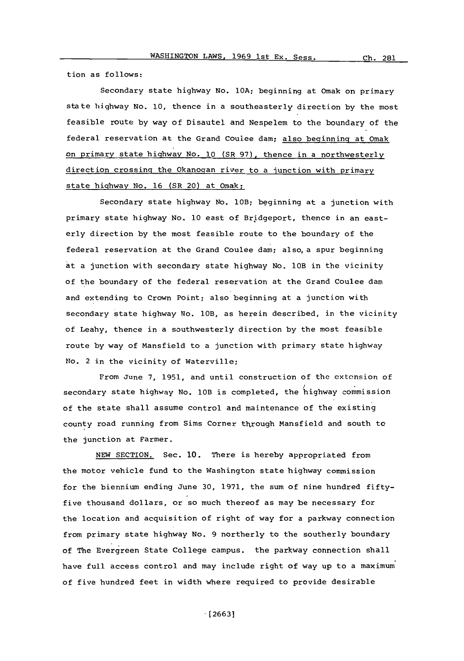tion as follows:

Secondary state highway No. **lOA;** beginning at Omak on primary state highway No. **10,** thence in a southeasterly direction **by** the most feasible route **by** way of Disautel and Nespelem to the boundary of the federal reservation at the Grand Coulee dam; also beginning at Omak on primary state highway No. **10** (SR **97),** thence in a northwesterly direction crossing the Okanogan river to a junction with primary state highway No. **16** (SR 20) at Omak:

Secondary state highway No. lOB; beginning at a junction with primary state highway No. **10** east of Bridgeport, thence in an easterly direction **by** the most feasible route to the boundary of the federal reservation at the Grand Coulee dam; also, a spur beginning at a junction with secondary state highway No. 10B in the vicinity of the boundary of the federal reservation at the Grand Coulee dam and extending to Crown Point; also beginning at a junction with secondary state highway No. lOB, as herein described, in the vicinity of Leahy, thence in a southwesterly direction **by** the most feasible route **by** way of Mansfield to a junction with primary state highway No. 2 in the vicinity of Waterville;

From June **7, 1951,** and until construction of the extension of secondary state highway No. lOB is completed, the highway commission of the state shall assume control and maintenance of the existing county road running from Sims Corner through Mansfield and south to the junction at Farmer.

**NEW SECTION.** Sec. **10.** There is hereby appropriated from the motor vehicle fund to the Washington state highway commission for the biennium ending June **30, 1971,** the sum of nine hundred fiftyfive thousand dollars, or so much thereof as may be necessary for the location and acquisition of right of way for a parkway connection from primary state highway No. **9** northerly to the southerly boundary of The Evergreen State College campus. the parkway connection shall have full access control and may include right of way up to a maximum of five hundred feet in width where required to provide desirable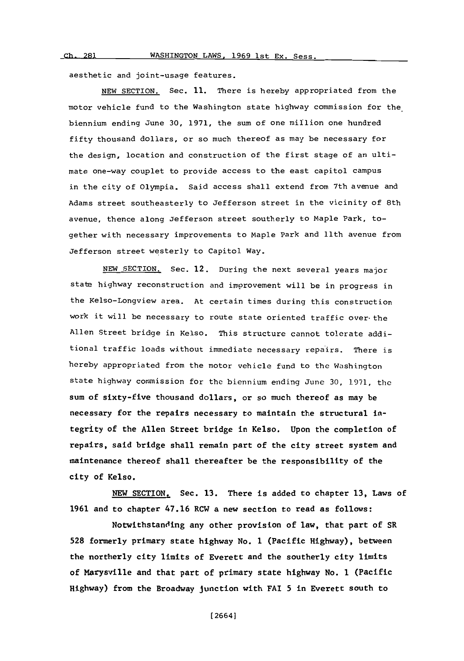aesthetic and joint-usage features.

**NEW** SECTION. Sec. **11.** There is hereby appropriated from the motor vehicle fund to the Washington state highway commission for the. biennium ending June **30, 1971,** the sum of one million one hundred fifty thousand dollars, or so much thereof as may be necessary for the design, location and construction of the first stage of an ultimate one-way couplet to provide access to the east capitol campus in the city of Olympia. Said access shall extend from 7th avenue and Adams street southeasterly to Jefferson street in the vicinity of 8th avenue, thence along Jefferson street southerly to Maple Park, together with necessary improvements to Maple Park and 11th avenue from Jefferson street westerly to Capitol Way.

**NEW** SECTION. Sec. 12. During the next several years major state highway reconstruction and improvement will be in progress in the Kelso-Longview area. At certain times during this construction work it will be necessary to route state oriented traffic over- the Allen Street bridge in Kelso. This structure cannot tolerate additional traffic loads without immediate necessary repairs. There is hereby appropriated from the motor vehicle fund to the Washington state highway commission for the biennium ending June 30, 1971, the sum of sixty-five thousand dollars, or so much thereof as may be necessary for the repairs necessary to maintain the structural integrity of the Allen Street bridge in Kelso. Upon the completion of repairs, said bridge shall remain part of the city street system and maintenance thereof shall thereafter be the responsibility of the city of Kelso.

**NEW** SECTION. Sec. **13.** There is added to chapter **13,** Laws of **1961** and to chapter 47.16 RCW a new section to read as follows:

Notwithstanding any other provision of law, that part of SR **528** formerly primary state highway No. 1 (Pacific Highway), between the northerly city limits of Everett and the southerly city limits of Marysville and that part of primary state highway No. 1 (Pacific Highway) from the Broadway junction with FAI **5** in Everett south to

[2664]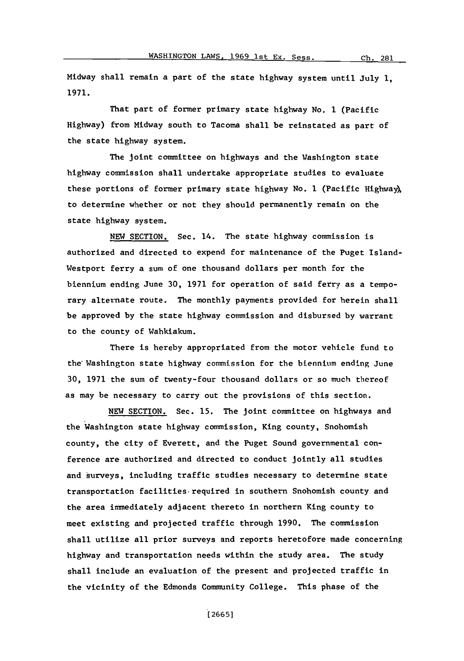Midway shall remain a part of the state highway system until July **1, 1971.**

That part of former primary state highway No. **1** (Pacific Highway) from Midway south to Tacoma shall be reinstated as part of the state highway system.

The joint committee on highways and the Washington state highway commission shall undertake appropriate studies to evaluate these portions of former primary state highway No. **1** (Pacific Highway, to determine whether or not they should permanently remain on the state highway system.

**NEW SECTION.** Sec. 14. The state highway commission is authorized and directed to expend for maintenance of the Puget Island-Westport ferry a sum of one thousand dollars per month for the biennium ending June **30, 1971** for operation of said ferry as a temporary alternate route. The monthly payments provided for herein shall be approved **by** the state highway commission and disbursed **by** warrant to the county of Wahkiakum.

There is hereby appropriated from the motor vehicle fund to the Washington state highway commission for the biennium ending June **30, 1971** the sum of twenty-four thousand dollars or so much thereof as may be necessary to carry out the provisions of this section.

**NEW SECTION.** Sec. **15.** The joint committee on highways and the Washington state highway commission, King county, Snohomish county, the city of Everett, and the Puget Sound governmental conference are authorized and directed to conduct jointly all studies and surveys, including traffic studies necessary to determine state transportation facilities required in southern Snohomish county and the area immediately adjacent thereto in northern King county to meet existing and projected traffic through **1990.** The commission shall utilize all prior surveys and reports heretofore made concerning highway and transportation needs within the study area. The study shall include an evaluation of the present and projected traffic in the vicinity of the Edmonds Community College. This phase of the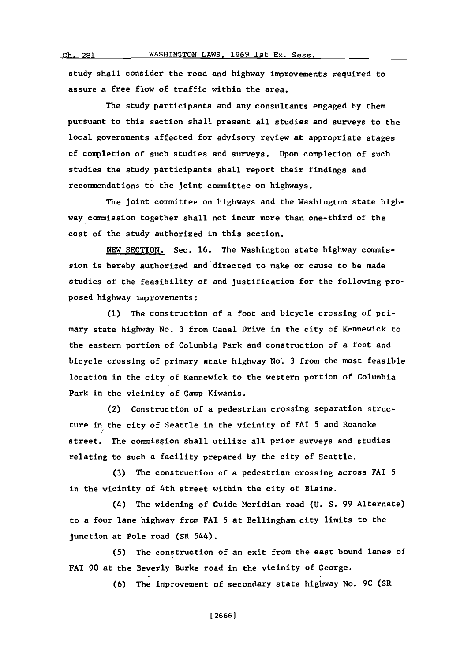WASHINGTON LAWS, 1969 1st Ex. Sess.

**(~I, \*)o1**

study shall consider the road and highway improvements required to assure a free flow of traffic within the area.

The study participants and any consultants engaged **by** them pursuant to this section shall present all studies and surveys to the local governments affected for advisory review at appropriate stages of completion of such studies and surveys. Upon completion of such studies the study participants shall report their findings and recommendations to the joint committee on highways.

The joint committee on highways and the Washington state highway commission together shall not incur more than one-third of the cost of the study authorized in this section.

**NEW** SECTION, Sec. **16.** The Washington state highway commission is hereby authorized and directed to make or cause to be made studies of the feasibility of and justification for the following proposed highway improvements:

**(1)** The construction of a foot and bicycle crossing of primary state highway No. **3** from Canal Drive in the city of Kennewick to the eastern portion of Columbia Park and construction of a foot and bicycle crossing of primary state highway No. **3** from the most feasiblq location in the city of Kennewick to the western portion of Columbia Park in the vicinity of Camp Kiwanis.

(2) Construction of a pedestrian crossing separation structure in the city of Seattle in the vicinity of FAI **5** and Roanoke street. The commission shall utilize all prior surveys and studies relating to such a facility prepared **by** the city of Seattle.

**(3)** The construction of a pedestrian crossing across **FAI 5** in the vicinity of 4th street within the city of Elaine.

(4) The widening of Guide Meridian road **(U. S. 99** Alternate) to a four lane highway from FAI **5** at Bellingham city limits to the junction at Pole road (SR 544).

**(5)** The construction of an exit from the east bound lanes of FAI **90** at the Beverly Burke road in the vicinity of George.

**(6)** The improvement of secondary state highway No. **9C** (SR

**[ 2666]**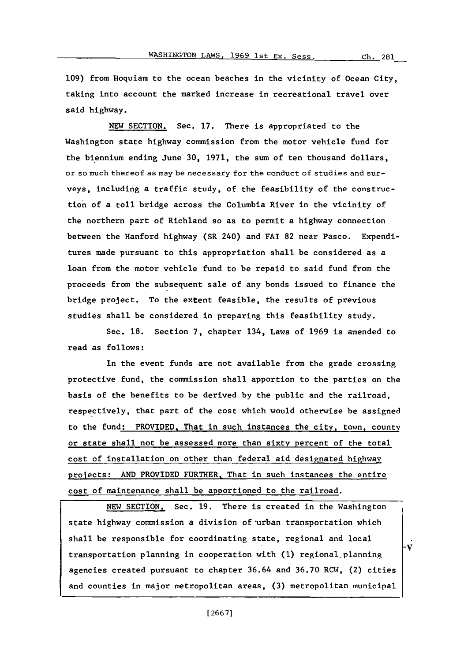Ch. 281

**109)** from Hoquiam to the ocean beaches in the vicinity of Ocean City, taking into account the marked increase in recreational travel over said highway.

**NEW** SECTION. Sec. **17.** There is appropriated to the Washington state highway commission from the motor vehicle fund for the biennium ending June **30, 1971,** the sum of ten thousand dollars, or so much thereof as may be necessary for the conduct of studies and surveys, including a traffic study, of the feasibility of the construction of a toll bridge across the Columbia River in the vicinity of the northern part of Richland so as to permit a highway connection between the Hanford highway (SR 240) and **FAI 82** near Pasco. Expenditures made pursuant to this appropriation shall be considered as a loan from the motor vehicle fund to be repaid to said fund from the proceeds from the subsequent sale of any bonds issued to finance the bridge project. To the extent feasible, the results of previous studies shall be considered in preparing this feasibility study.

Sec. **18.** Section **7,** chapter 134, Laws of **1969** is amended to read as follows:

In the event funds are not available from the grade crossing protective fund, the commission shall apportion to the parties on the basis of the benefits to be derived **by** the public and the railroad, respectively, that part of the cost which would otherwise be assigned to the fund: PROVIDED, That in such instances the city, town, county or state shall not be assessed more than sixty percent of the total cost of installation on other than federal aid designated highway projects: **AND** PROVIDED FURTHER. That in such instances the entire cost of maintenance shall be apportioned to the railroad.

**NEW SECTION.** Sec. **19.** There is created in the Washington state highway commission a division of urban transportation which shall be responsible for coordinating state, regional and local **\_V** transportation planning in cooperation with **(1)** regional.planning agencies created pursuant to chapter 36.64 and 36.70 RCW, (2) cities and counties in major metropolitan areas, **(3)** metropolitan municipal

**[ 26671**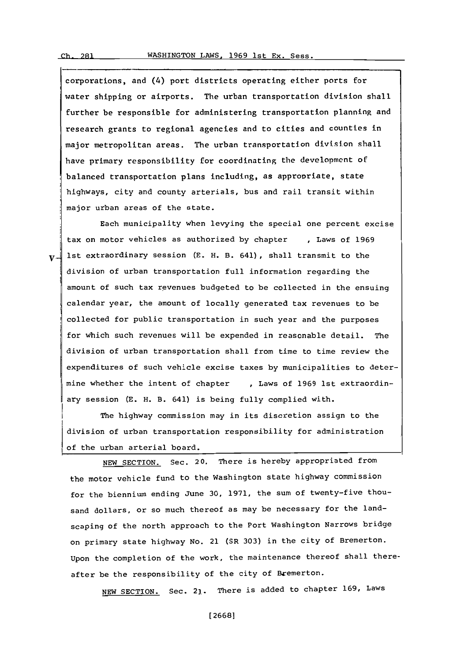corporations, and (4) port districts operating either ports for water shipping or airports. The urban transportation division shall further be responsible for administering transportation planning and research grants to regional agencies and to cities and counties in major metropolitan areas. The urban transportation division shall have primary responsibility for coordinating the development of balanced transportation plans including, as appropriate, state highways, city and county arterials, bus and rail transit within major urban areas of the state.

Each municipality when levying the special one percent excise tax on motor vehicles as authorized **by** chapter **I** Laws of **1969**  $v$  ist extraordinary session (E. H. B. 641), shall transmit to the division of urban transportation full information regarding the amount of such tax revenues budgeted to be collected in the ensuing calendar year, the amount of locally generated tax revenues to be collected for public transportation in such year and the purposes Ifor which such revenues will be expended in reasonable detail. The division of urban transportation shall from time to time review the expenditures of such vehicle excise taxes **by** municipalities to determine whether the intent of chapter **,** Laws of **1969** 1st extraordinary session **CE.** H. B. 641) is being fully complied with.

The highway commission may in its discretion assign to the division of urban transportation responsibility for administration of the urban arterial board.

**NEW** SECTION. Sec. 20. There is hereby appropriated from the motor vehicle fund to the Washington state highway commission for the biennium ending June **30, 1971,** the sum of twenty-five thousand dollars, or so much thereof as may be necessary for the landscaping of the north approach to the Port Washington Narrows bridge on primary state highway No. 21 (SR **303)** in the city of Bremerton. Upon the completion of the work, the maintenance thereof shall thereafter be the responsibility of the city of Bremerton.

**NEW** SECTION. Sec. 2l. There is added to chapter **169,** Laws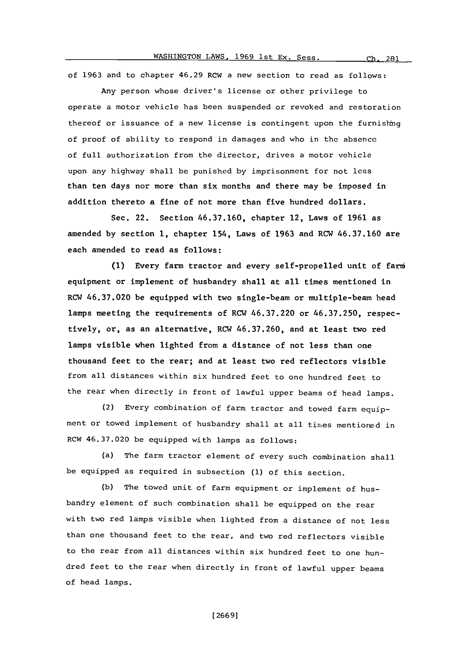# WASHINGTON LAWS, 1969 1st Ex. Sess. Ch. 281

of **1963** and to chapter 46.29 RCW a new section to read as follows:

Any person whose driver's license or other privilege to operate a motor vehicle has been suspended or revoked and restoration thereof or issuance of a new license is contingent upon the furnishing of proof of ability to respond in damages and who in the absence of full authorization from the director, drives a motor vehicle upon any highway shall be punished **by** imprisonment for not less than ten days nor more than six months and there may be imposed in addition thereto a fine of not more than five hundred dollars.

Sec. 22. Section **46.37.160,** chapter 12, Laws of **1961** as amended **by** section **1,** chapter 154, Laws of **1963** and RCW **46.37.160** are each amended to read as follows:

**(1)** Every farm tractor and every self-propelled unit of farm6 equipment or implement of husbandry shall at all times mentioned in RCW **46.37.020** be equipped with two single-beam or multiple-beam head lamps meeting the requirements of RCW **46.37.220** or **46.37.250,** respectively, or, as an alternative, RCW **46.37.260,** and at least two red lamps visible when lighted from a distance of not less than one thousand feet to the rear; and at least two red reflectors visible from all distances within six hundred feet to one hundred feet to the rear when directly in front of lawful upper beams of head lamps.

(2) Every combination of farm tractor and towed farm equipment or towed implement of husbandry shall at all times mentioned in RCW **46.37.020** be equipped with lamps as follows:

(a) The farm tractor element of every such combination shall be equipped as required in subsection **(1)** of this section.

(b) The towed unit of farm equipment or implement of husbandry element of such combination shall be equipped on the rear with two red lamps visible when lighted from a distance of not less than one thousand feet to the rear, and two red reflectors visible to the rear from all distances within six hundred feet to one hundred feet to the rear when directly in front of lawful upper beams of head lamps.

**[ 2669]**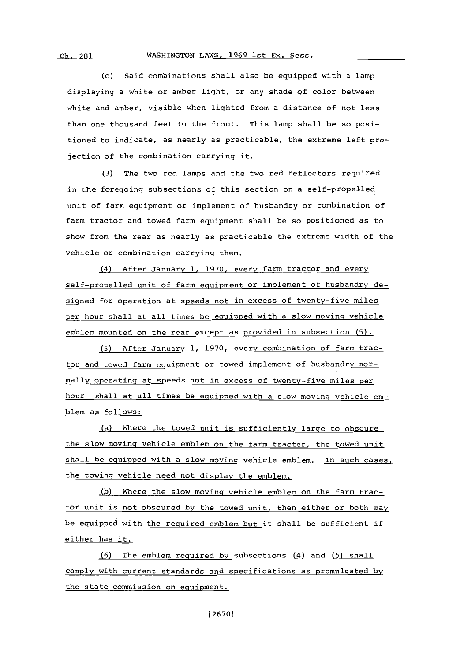### **Ch.** 281 WASHINGTON LAWS. **1969** lst **Ex.** Sess.

(c) Said combinations shall also be equipped with a lamp displaying a white or amber light, or any shade **of** color between white and amber, visible when lighted from a distance of not less than one thousand feet to the front. This lamp shall be so positioned to indicate, as nearly as practicable, the extreme left projection of the combination carrying it.

**(3)** The two red lamps and the two red reflectors required in the foregoing subsections of this section on a self-propelled unit of farm equipment or implement of husbandry or combination of farm tractor and towed farm equipment shall be so positioned as to show from the rear as nearly as practicable the extreme width of the vehicle or combination carrying them.

(4) After January **1, 1970,** every farm tractor and every self-propelled unit of farm equipment or implement of husbandry designed for operation at speeds not in excess of twenty-five miles per hour shall at all times be equipped with a slow moving vehicle emblem mounted on the rear except as provided in subsection **(5).**

**(5)** After January **1, 1970,** every combination of farm tractor and towed farm equipment or towed implement of husbandry normally operating at speeds not in excess of twenty-five miles per hour shall at all times be equipped with a slow moving vehicle emblem as follows:

(a) Where the towed unit is sufficiently large to obscure the slow moving vehicle emblem on the farm tractor, the towed unit shall be equipped with a slow moving vehicle emblem. In such cases, the towing vehicle need not display the emblem.

**(b)** Where the slow moving vehicle emblem on the farm tractor unit is not obscured **by** the towed unit, then either or both may be equipped with the required emblem but it shall be sufficient if either has it.

**(6)** The emblem required **by** subsections (4) and **(5)** shall comply with current standards and specifications as promulgated by the state commission on equipment.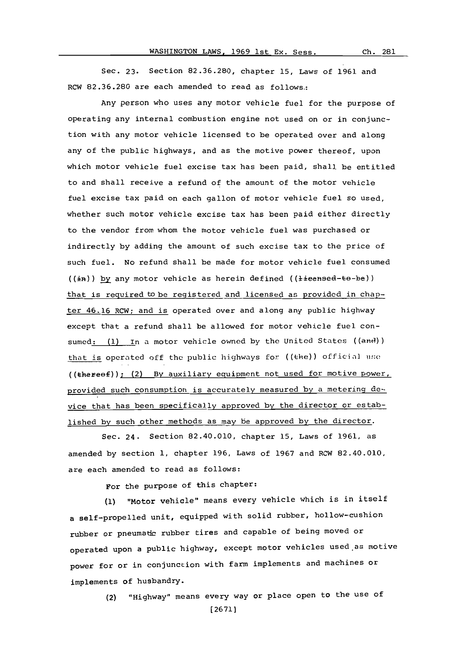## WASHINGTON LAWS, 1969 1st Ex. Sess.

**Ch.** 261

Sec. **23.** Section **82.36.280,** chapter **15,** Laws of **1961** and RCW **82.36.280** are each amended to read as follows.:

Any person who uses any motor vehicle fuel for the purpose of operating any internal combustion engine not used on or in conjunction with any motor vehicle licensed to be operated over and along any of the public highways, and as the motive power thereof, upon which motor vehicle fuel excise tax has been paid, shall be entitled to and shall receive a refund of the amount of the motor vehicle fuel excise tax paid on each gallon of motor vehicle fuel so used, whether such motor vehicle excise tax has been paid either directly to the vendor from whom the motor vehicle fuel was purchased or indirectly **by** adding the amount of such excise tax to the price of such fuel. No refund shall be made for motor vehicle fuel consumed  $((\pm n))$  by any motor vehicle as herein defined  $((\pm i\epsilon e + b\epsilon e))$ that is required to be registered and licensed as provided in chapter 46.16 RCW; and is operated over and along any public highway except that a refund shall be allowed for motor vehicle fuel consumed: (1) In a motor vehicle owned by the United States ((and)) that is operated off the public highways for ((the)) official use ((ther'eof)); (2) **By** auxiliary equipment not used for motive power, provided such consumption is accurately measured **by** a metering device that has been specifically approved **by** the director or established **by** such other methods as may be approved **by** the director.

Sec. 24. Section 82.40.010, chapter **15,** Laws of **1961,** as amended **by** section **1,** chapter **196,** Laws of **1967** and RCW 82.40.010, are each amended to read as follows:

For the purpose of this chapter:

(1) "Motor vehicle" means every vehicle which is in itself a self-propelled unit, equipped with solid rubber, hollow-cushion rubber or pneumatic rubber tires and capable of being moved or operated upon a public highway, except motor vehicles used as motive power for or in conjunction with farm implements and machines or implements of husbandry.

> (2) "Highway" means every way or place open to the use of **[2671]**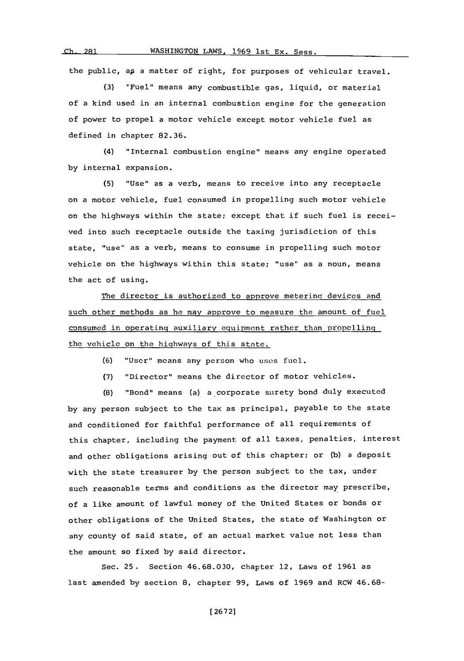WASHINGTON LAWS, 1969 1st Ex. Sess.

 $Ch. 281$ 

the public, ap a matter of right, for purposes of vehicular travel.

**(3)** "Fuel" means any combustible gas, liquid, or material of a kind used in an internal combustion engine for the generation of power to propel a motor vehicle except motor vehicle fuel as defined in chapter **82.36.**

(4) "Internal combustion engine" means any engine operated **by** internal expansion.

**(5)** "Use" as a verb, means to receive into any receptacle on a motor vehicle, fuel consumed in propelling such motor vehicle on the highways within the state; except that if such fuel is received into such receptacle outside the taxing jurisdiction of this state, "use" as a verb, means to consume in propelling such motor vehicle on the highways within this state; "use" as a noun, means the act of using.

The director is authorized to approve metering devices and such other methods as he may approve to measure the amount of fuel consumed in operating auxiliary equipment rather than propelling the vehicle on the highways of this state.

**(6)** "User" means any person who uses fuel.

**(7)** "Director" means the director of motor vehicles.

**(8)** "Bond" means (a) a corporate surety bond duly executed **by** any person subject to the tax as principal, payable to the state and conditioned for faithful performance of all requirements of this chapter, including the payment of all taxes, penalties, interest and other obligations arising out of this chapter; or **(b)** a deposit with the state treasurer **by** the person subject to the tax, under such reasonable terms and conditions as the director may prescribe, of a like amount of lawful money of the United States or bonds or other obligations of the United States, the state of Washington or any county of said state, of an actual market value not less than the amount so fixed **by** said director.

Sec. **25.** Section **46.68.030,** chapter 12, Laws of **1961** as last amended **by** section **8,** chapter **99,** Laws of **1969** and RCW 46.68-

**[ 2672]**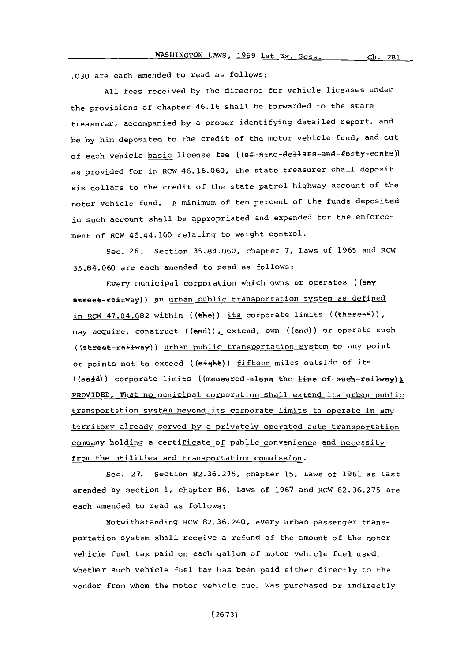**.030** are each amended to read as follows:

**All** fees received **by** the director for vehicle licenses under the provisions of chapter 46.16 shall be forwarded to the state treasurer, accompanied **by** a proper identifying detailed report, and be **by** him deposited to the credit of the motor vehicle fund, and out of each vehicle basic license fee ((ef-nine-dellars-and-ferty-eents)) as provided for in RCW **46.16.060,** the state treasurer shall deposit six dollars to the credit of the state patrol highway account of the motor vehicle fund. **A** minimum of ten percent of the funds deposited in such account shall be appropriated and expended for the enforement of RCW 46.44.100 relating to weight control.

Sec. **26.** Section **35.84.060,** chapter **7,** Laws of **1965** and RCW **35.84.060** are each amended to reed as follows:

Every municipal corporation which owns or operates ((any street-railway)) an urban public transportation system as defined in RCW  $47.04.082$  within ((the)) its corporate limits ((thereof)), may acquire, construct ((and)), extend, own ((and)) or operate such ((steet-ailway)) urban public transportation system to any **point** or points not to exceed ((eight)) fifteen miles outside of its ((said)) corporate limits ((measured-along-the-line-of-such-railway)) PROVIDED. That no municipal corporation shall extend its urban public transportation system beyond its corporate limits to operate in any territory already served **by** a privately operated auto transportation company holding a certificate of public convenience and necessity from the utilities and transportation commission.

Sec. **27.** Section **82.36.275,** chapter **15,** Laws of **1961** as last amended **by** section **1,** chapter **86,** Laws of **1967** and RCW **82.36.275** are each amended to read as follows:

Notwithstanding RCW **82.36.240,** every urban passenger transportation system shall receive a refund of the amount of the motor vehicle fuel tax paid on each gallon of motor vehicle fuel used, whether such vehicle fuel tax has been paid either directly to the vendor from whom the motor vehicle fuel was purchased or indirectly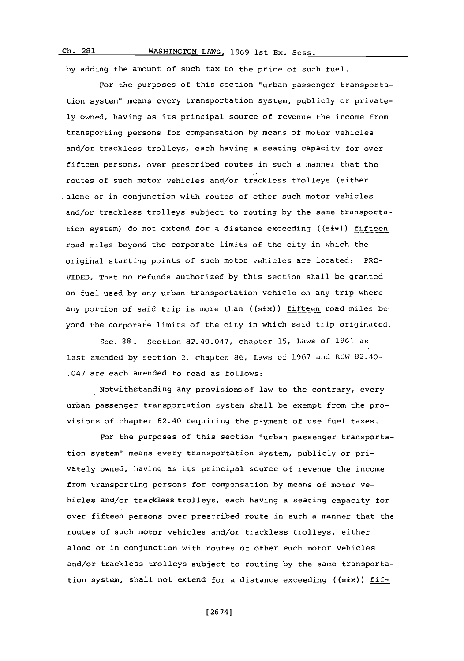Ch. 281

# WASHINGTON LAWS, 1969 1st Ex. Sess.

**by** adding the amount of such tax to the price of such fuel.

For the purposes of this section "urban passenger transportation system" means every transportation system, publicly or private**ly** owned, having as its principal source of revenue the income from transporting persons for compensation **by** means of motor vehicles and/or trackless trolleys, each having a seating capacity for over fifteen persons, over prescribed routes in such a manner that the routes of such motor vehicles and/or trackless trolleys (either alone or in conjunction with routes of other such motor vehicles and/or trackless trolleys subject to routing **by** the same transportation system) do not extend for a distance exceeding (( $s$ ix)) fifteen road miles beyond the corporate limits of the city in which the original starting points of such motor vehicles are located: PRO-**VIDED,** That no refunds authorized **by** this section shall be granted on fuel used **by** any urban transportation vehicle on any trip where any portion of said trip is more than (( $\texttt{six}$ )) fifteen road miles beyond the corporate limits of the city in which said trip originated.

Sec. **28.** Section 82.40.047, chapter *15,* Laws of **1961.** as last amended **by** section 2, chapter **86,** Laws of **1967** and RCW 82.40- .047 are each amended to read as follows:

Notwithstanding any provisions of law to the contrary, every urban passenger transportation system shall be exempt from the provisions of chapter 82.40 requiring the payment of use fuel taxes.

For the purposes of this section "urban passenger transportation system" means every transportation system, publicly or privately owned, having as its principal source of revenue the income from transporting persons for compensation **by** means of motor vehicles and/or trackless trolleys, each having a seating capacity for over fifteen persons over prescribed route in such a manner that the routes of such motor vehicles and/or trackless trolleys, either alone or in conjunction with routes of other such motor vehicles and/or trackless trolleys subject to routing **by** the same transportation system, shall not extend for a distance exceeding ((six)) fif-

**[** 2674]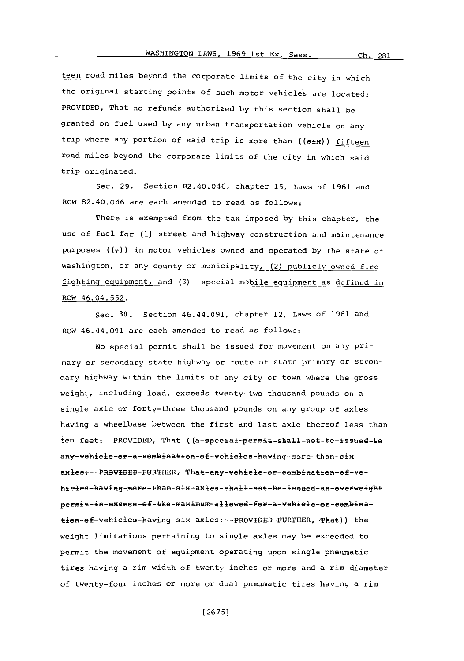teen road miles beyond the corporate limits of the city in which the original starting points of such motor vehicles are located: PROVIDED, That no refunds authorized **by** this section shall be granted on fuel used **by** any urban transportation vehicle on any trip where any portion of said trip is more than ((six)) fifteen road miles beyond the corporate limits of the city in which said trip originated.

Sec. **29.** Section 82.40.046, chapter **15,** Laws of **1961** and RCW 82.40.046 are each amended to read as follows:

There is exempted from the tax imposed **by** this chapter, the use of fuel for **(1)** street and highway construction and maintenance purposes  $((\tau))$  in motor vehicles owned and operated by the state of Washington, or any county or municipality, (2) publicly owned fire fighting equipment, and (3) special mobile equipment as defined in RCW 46.04.552.

Sec. **30.** Section 46.44.091, chapter 12, Laws of **1961** and RCW 46.44.091 are each amended to read as follows:

No special permit shall **be** issued for movement on any primary or secondary state highway or route of state primiary or secondary highway within the limits of any city or town where the gross weight, including load, exceeds twenty-two thousand pounds on a single axle or forty-three thousand pounds on any group of axles having a wheelbase between the first and last axle thereof less than ten feet: PROVIDED, That ((a-speeial-permit-shall-not-be-issued-to any-vehiele-or-a-eembination-of-vehieles-having-more-than-six axies :--PROVIDED-FURTHER -That-any-vehiele-or-eembination-of-vehieles-having-more-than-six-axles-shall-nst-be-issued-an-overweight permit-in-excess-of-the-maximum-allowed-for-a-vehicle-or-combination-of-vehicles-having-six-axles: --PROVIBEB-FURTHER,-That)) the weight limitations pertaining to single axles may be exceeded to permit the movement of equipment operating upon single pneumatic tires having a rim width of twenty inches or more and a rim diameter of twenty-four inches or more or dual pneumatic tires having a rim

**[ 2675]**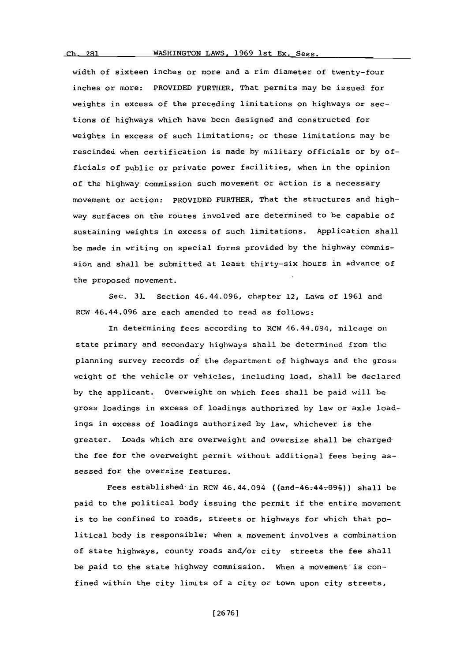## WASHINGTON LAWS, 1969 1st Ex. Sess.

width of sixteen inches or more and a rim diameter of twenty-four inches or more: PROVIDED FURTHER, That permits may be issued for weights in excess of the preceding limitations on highways or sections of highways which have been designed and constructed for weights in excess of such limitations; or these limitations may be rescinded when certification is made **by** military officials or **by** officials of public or private power facilities, when in the opinion of the highway commission such movement or action is a necessary movement or action: PROVIDED FURTHER, That the structures and highway surfaces on the routes involved are determined to be capable of sustaining weights in excess of such limitations. Application shall be made in writing on special forms provided **by** the highway commnission and shall be submitted at least thirty-six hours in advance of the proposed movement.

Sec. **31.** Section 46.44.096, chapter 12, Laws of **1961** and RCW 46.44.096 are each amended to read as follows:

In determining fees according to RCW 46.44.094, mileage on state primary and secondary highways shall **be** determined from the planning survey records of the department of highways and the gross weight of the vehicle or vehicles, including load, shall be declared **by** the applicant. overweight on which fees shall be paid will be gross loadings in excess of loadings authorized **by** law or axle loadings in excess of loadings authorized **by** law, whichever is the greater. Loads which are overweight and oversize shall be chargedthe fee for the overweight permit without additional fees being assessed for the oversize features.

Fees established in RCW  $46.44.094$  ((and- $46.44.995$ )) shall be paid to the political body issuing the permit if the entire movement is to be confined to roads, streets or highways for which that political body is responsible; when a movement involves a combination of state highways, county roads and/or city streets the fee shall be paid to the state highway commission. When a movement is confined within the city limits of a city or town upon city streets,

**[ 26761**

 $<sub>ch</sub>$  281</sub>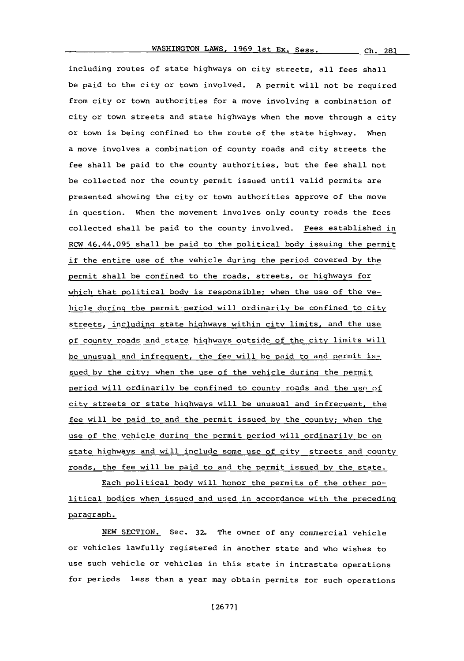Ch. 281

including routes of state highways on city streets, all fees shall be paid to the city or town involved. **A** permit will not be required from city or town authorities for a move involving a combination of city or town streets and state highways when the move through a city or town is being confined to the route of the state highway. When a move involves a combination of county roads and city streets the fee shall be paid to the county authorities, but the fee shall not be collected nor the county permit issued until valid permits are presented showing the city or town authorities approve of the move in question. When the movement involves only county roads the fees collected shall be paid to the county involved. Fees established in RCW 46.44.095 shall be paid to the political body issuing the permit if the entire use of the vehicle during the period covered **by** the permit shall be confined to the roads, streets, or highways for which that political body is responsible; when the use of the vehicle during the permit period will ordinarily be confined to city streets, including state highways within city limits, and the use of county roads and state highways outside of the city limits will be unusual and infrequent, the fee will be paid to and permit issued **by** the city; when the use of the vehicle during the permit period will ordinarily be confined to county roads and the use of city streets or state highways will be unusual and infrequent, the fee will be paid to and the permit issued **by** the county; when the use of the vehicle during the permit period will ordinarily be on state highways and will include some use of city streets and county roads, the fee will be paid to and the permit issued **by** the state.

Each political body will honor the permits of the other political bodies when issued and used in accordance with the preceding paragraph.

**NEW** SECTION. Sec. **32.** The owner of any commercial vehicle or vehicles lawfully registered in another state and who wishes to use such vehicle or vehicles in this state in intrastate operations for periods less than a year may obtain permits for such operations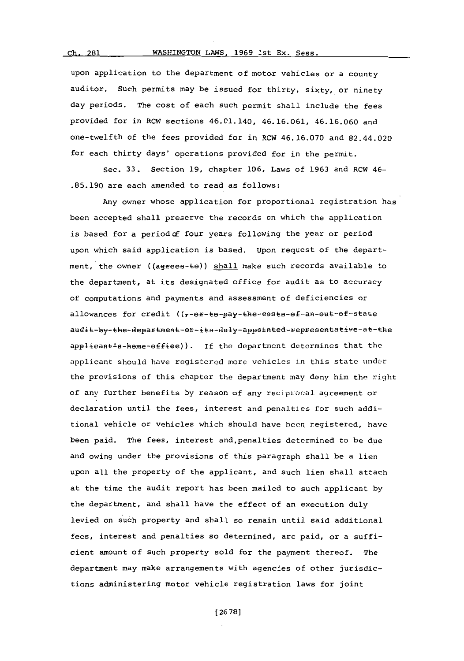Ch. 281

upon application to the department of motor vehicles or a county auditor. Such permits may be issued for thirty, sixty, or ninety day periods. The cost of each such permit shall include the fees provided for in RCW sections 46.01.140, **46.16.061, 46.16.060** and one-twelfth of the fees provided for in RCW **46.16.070** and 82.44.020 for each thirty days' operations provided for in the permit.

Sec. **33.** Section **19,** chapter **106,** Laws of **1963** and RCW 46- **.85.190** are each amended to read as follows:

Any owner whose application for proportional registration has been accepted shall preserve the records on which the application is based for a period of four years following the year or period upon which said application is based. Upon request of the department, the owner ((agrees-te)) shall make such records available to the department, at its designated office for audit as to accuracy of computations and payments and assessment of deficiencies or allowances for credit ((7-0F-to-pay-the-eosts-of-an-out-of-state audit-by-the-department-or-its-duly-appointed-representative-at-the applieant<sup>1</sup>s-heme-effiee)). If the department determines that the applicant should have registered more vehicles in this state under the provisions of this chapter the department may deny him the riqht of any further benefits **by** reason of any reciprocal agreement or declaration until the fees, interest and penalties for such additional vehicle or vehicles which should have been. registered, have been paid. The fees, interest and,penalties determined to be due and owing under the provisions of this paragraph shall be a lien upon all the property of the applicant, and such lien shall attach at the time the audit report has been mailed to such applicant **by** the department, and shall have the effect of an execution duly levied on such property and shall so remain until said additional fees, interest and penalties so determined, are paid, or a sufficient amount of such property sold for the payment thereof. The department may make arrangements with agencies of other jurisdictions administering motor vehicle registration laws for joint

**[ 26 78]**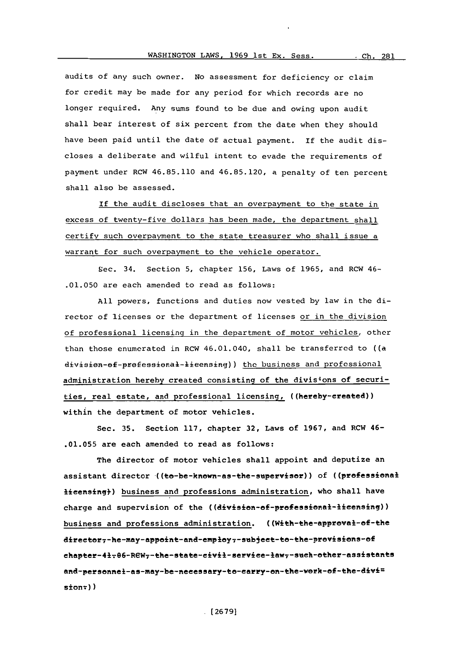audits of any such owner. No assessment for deficiency or claim for credit may be made for any period for which records are no longer required. Any sums found to be due and owing upon audit shall bear interest of six percent from the date when they should have been paid until the date of actual payment. **if** the audit discloses a deliberate and wilful intent to evade the requirements of payment under RCW **46.85.110** and **46.85.120,** a penalty of ten percent shall also be assessed.

If the audit discloses that an overpayment to the state in excess of twenty-five dollars has been made, the department shall certify such overpayment to the state treasurer who shall issue a warrant for such overpayment to the vehicle operator.

S~ec. 34. Section **5,** chapter **156,** Laws of **1965,** and RCW 46- **.01.050** are each amended to read as follows:

**All** powers, functions and duties now vested **by** law in the director of licenses or the department of licenses or in the division of professional licensing in the department of motor vehicles, other than those enumerated in RCW 46.01.040, shall be transferred to ((a division-of-professional-lieensing)) the business and professional administration hereby created consisting of the divisions of securities, real estate, and professional licensing, ((hereby-ereated)) within the department of motor vehicles.

Sec. **35.** Section **117,** chapter **32,** Laws of **1967,** and RCW 46- **.01.055** are each amended to read as follows:

The director of motor vehicles shall appoint and deputize an assistant director ((to-be-known-as-the-supervisor)) of ((professional licensing}) business and professions administration, who shall have charge and supervision of the ((division-of-professional-licensing)) business and professions administration. ((With-the-approval-of-the director7-he-may-appoint-and-employ7-subject-to-the-provisions-of chapter-41-06-RCW7-the-state-civil-service-law7-such-other-assistants and-personnel-as-may-be-necessary-to-carry-on-the-work-of-the-divi=  $s$ ion $\tau$ ))

**(26791**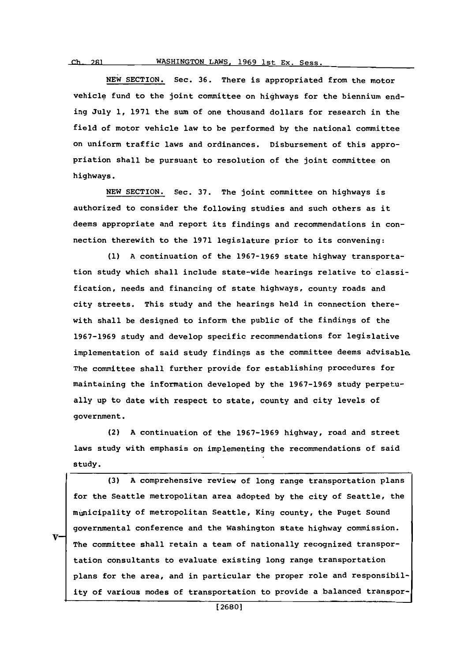**NEW** SECTION. Sec. **36.** There is appropriated from the motor vehicle fund to the joint committee on highways for the biennium ending July **1, 1971** the sum of one thousand dollars for research in the field of motor vehicle law to be performed **by** the national committee on uniform traffic laws and ordinances. Disbursement of this appropriation shall be pursuant to resolution of the joint committee on highways.

**NEW** SECTION. Sec. **37.** The joint committee on highways is authorized to consider the following studies and such others as it deems appropriate and report its findings and recommendations in connection therewith to the **1971** legislature prior to its convening:

**(1) A** continuation of the **1967-1969** state highway transportation study which shall include state-wide hearings relative to classification, needs and financing of state highways, county roads and city streets. This study and the hearings held in connection therewith shall be designed to inform the public of the findings of the **1967-1969** study and develop specific recommendations for legislative implementation of said study findings as the committee deems advisable. The committee shall further provide for establishing procedures for maintaining the information developed **by** the **1967-1969** study perpetually up to date with respect to state, county and city levels of government.

(2) **A** continuation of the **1967-1969** highway, road and street laws study with emphasis on implementing the recommendations **of** said study.

**(3) A** comprehensive review of long range transportation plans for the Seattle metropolitan area adopted **by** the city of Seattle, the mugnicipality of metropolitan Seattle, King county, the Puget Sound governmental conference and the Washington state highway commission. The committee shall retain a team of nationally recognized transportation consultants to evaluate existing long range transportation plans for the area, and in particular the proper role and responsibility of various modes of transportation to provide a balanced transpor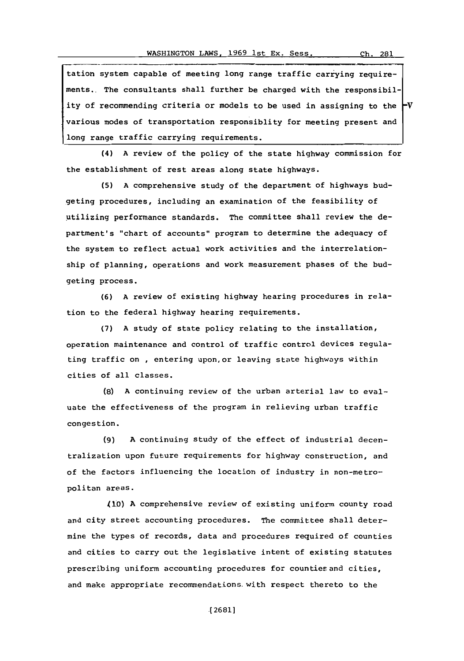tation system capable of meeting long range traffic carrying requirements.. The consultants shall further be charged with the responsibility of recommending criteria or models to be used in assigning to the  $\vdash$ various nodes of transportation responsiblity for meeting present and long range traffic carrying requirements.

(4) **A** review of the policy of the state highway commission for the establishment of rest areas along state highways.

**(5) A** comprehensive study of the department of highways budgeting procedures, including an examination of the feasibility of utilizing performance standards. The committee shall review the department's "chart of accounts" program to determine the adequacy of the system to reflect actual work activities and the interrelationship of planning, operations and work measurement phases of the budgeting process.

**(6) A** review of existing highway hearing procedures in relation to the federal highway hearing requirements.

**(7) A** study of state policy relating to the installation, operation maintenance and control of traffic control devices regulating traffic on , entering upon. or leaving state highways within cities of all classes.

**(8) A** continuing review of the urban arterial law to evaluate the effectiveness of the program in relieving urban traffic congestion.

**(9) A** continuing study of the effect of industrial decentralization upon future requirements for highway construction, and of the factors influencing the location of industry in non-metropolitan areas.

410) **A** comprehensive review of existing uniform county road and city street accounting procedures. The committee shall determine the types of records, data and procedures required of counties and cities to carry out the legislative intent of existing statutes prescribing uniform accounting procedures for counties and cities, and make appropriate recommendations. with respect thereto to the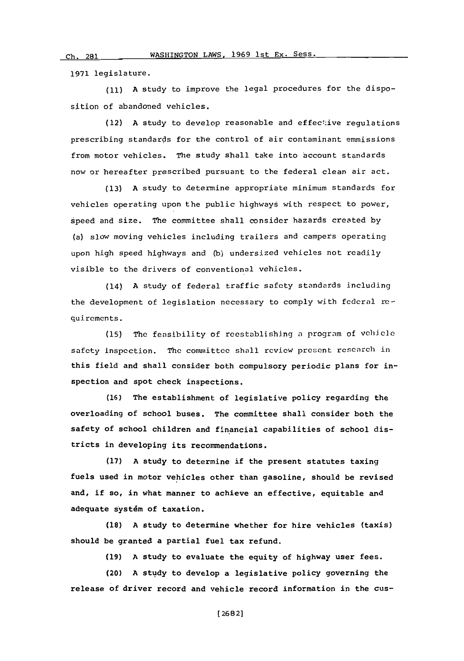**1971** legislature.

 $Ch. 281$ 

**(11) A** study to improve the legal procedures for the disposition of abandoned vehicles.

(12) A study to develop reasonable and effective regulations prescribing standards for the control of air contaminant emmissions from motor vehicles. The study shall take into account standards now or hereafter prescribed pursuant to the federal clean air act.

**(13) A** study to determine appropriate minimum standards for vehicles operating upon the public highways with respect to power, speed and size. The committee shall consider hazards created **by** (a) slow moving vehicles including trailers and campers operating upon high speed highways and **(b)** undersized vehicles not readily visible to the drivers of conventional vehicles.

(14) **A** study of federal traffic safety standards including the development of legislation necessary to comply with fcderal requirements.

**(15)** The feasibility of reestablishing a program of vehicle safety inspection. The committee shall review present research in this field and shall consider both compulsory periodic plans for inspection and spot check inspections.

**(16)** The establishment of legislative policy regarding the overloading of school buses. The committee shall consider both the safety of school children and financial capabilities of school districts in developing its recommendations.

**(17) A** study to determine if the present statutes taxing fuels used in motor vehicles other than gasoline, should be revised and, if so, in what manner to achieve an effective, equitable and adequate systdm of taxation.

**(18) A** study to determine whether for hire vehicles (taxis) should be granted a partial fuel tax refund.

**(19) A** study to evaluate the equity of highway user fees.

(20) **A** study to develop a legislative policy governing the release of driver record and vehicle record information in the cus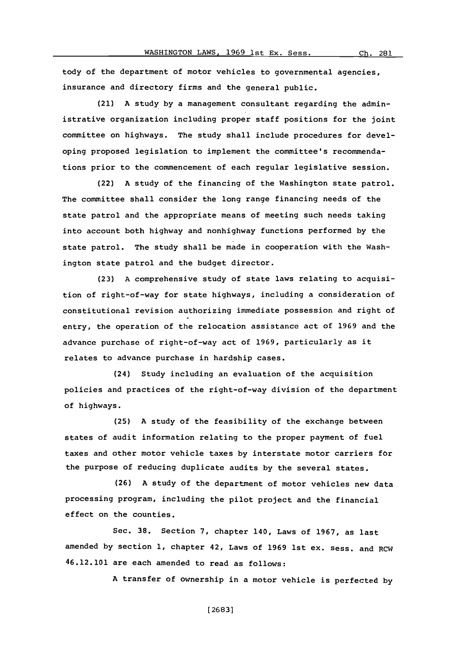tody of the department of motor vehicles to governmental agencies, insurance and directory firms and the general public.

(21) **A** study **by** a management consultant regarding the administrative organization including proper staff positions for the joint committee on highways. The study shall include procedures for developing proposed legislation to implement the committee's recommendations prior to the commencement of each regular legislative session.

(22) **A** study of the financing of the Washington state patrol. The committee shall consider the long range financing needs of the state patrol and the appropriate means of meeting such needs taking into account both highway and nonhighway functions performed **by** the state patrol. The study shall be made in cooperation with the Washington state patrol and the budget director.

**(23) A** comprehensive study of state laws relating to acquisition of right-of-way for state highways, including a consideration of constitutional revision authorizing immediate possession and right of entry, the operation of the relocation assistance act of **1969** and the advance purchase of right-of-way act of **1969,** particularly as it relates to advance purchase in hardship cases.

(24) Study including an evaluation of the acquisition policies and practices of the right-of-way division of the department of highways.

**(25) A** study of the feasibility of the exchange between states of audit information relating to the proper payment of fuel taxes and other motor vehicle taxes **by** interstate motor carriers for the purpose of reducing duplicate audits **by** the several states.

**(26) A** study of the department of motor vehicles new data processing program, including the pilot project and the financial effect on the counties.

Sec. **38.** Section **7,** chapter 140, Laws of **1967,** as last amended **by** section **1,** chapter 42, Laws of **1969** 1st ex. sess. and RCW 46.12.101 are each amended to read as follows:

**A** transfer of ownership in a motor vehicle is perfected **by**

**[ 2683]**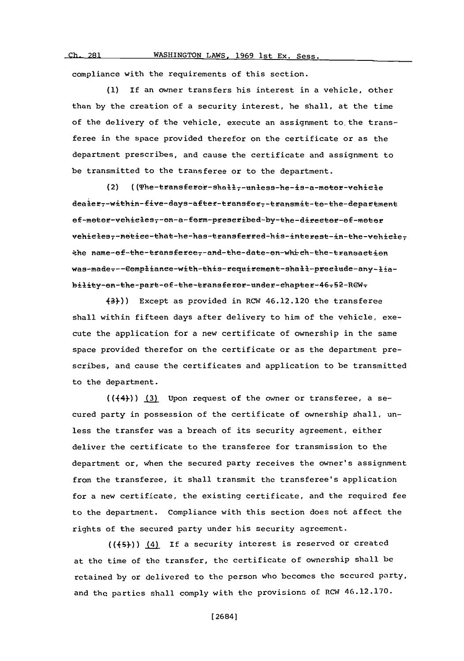#### WASHINGTON LAWS, 1969 1st Ex. Sess. *ch*<sub>1</sub> 281

compliance with the requirements of this section.

**(1)** If an owner transfers his interest in a vehicle, other than **by** the creation of a security interest, he shall, at the time of the delivery of the vehicle, execute an assignment to. the transferee in the space provided therefor on the certificate or as the department prescribes, and cause the certificate and assignment to be transmitted to the transferee or to the department.

(2) ((The-transferor-shall,-unless-he-is-a-motor-vehicle dealer7-within-five-days-after-transfer7-transmit-to-the-department ef-meter-vehicles,-en-a-ferm-prescribed-by-the-directer-ef-meter .kenm-ftetaseeTadth-aee-h-htetaee-e the name-ef-the-transferee--and-the-date-on-which-the-transaction was-made---Compliance-with-this-requirement-shall-preclude-any-liability-on-the-part-of-the-transferor-under-chapter-46-52-REW-

43)-)) Except as provided in RCW 46.12.120 the transferee shall within fifteen days after delivery to him of the vehicle, execute the application for a new certificate of ownership in the same space provided therefor on the certificate or as the department prescribes, and cause the certificates and application to be transmitted to the department.

(( $(44)$ )) (3) Upon request of the owner or transferee, a secured party in possession of the certificate of ownership shall, unless the transfer was a breach of its security agreement, either deliver the certificate to the transferee for transmission to the department or, when the secured party receives the owner's assignment from the transferee, it shall transmit the transferee's application for a new certificate, the existing certificate, and the required fee to the department. Compliance with this section does not affect the rights of the secured party under his security agreement.

(((5))) (4) If a security interest is reserved or created at the time of the transfer, the certificate of ownership shall be retained **by** or delivered to the person who becomes the secured party, and the parties shall comply with the provisions of RCW 46.12.170.

**[** 2684]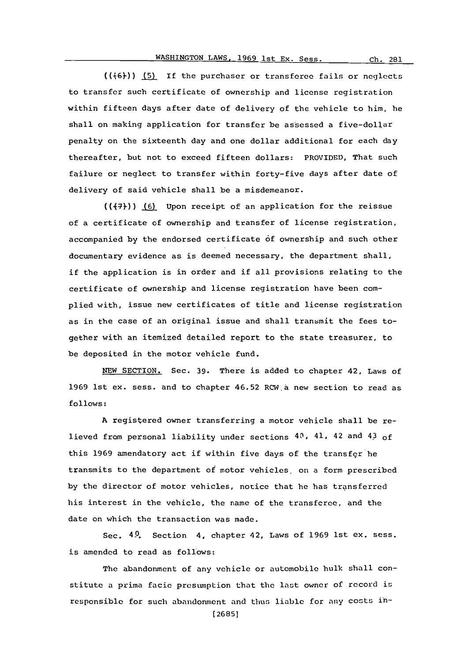(( $(6)$ )) (5) If the purchaser or transferee fails or neglects to transfer such certificate of ownership and license registration within fifteen days after date of delivery of the vehicle to him, he shall on making application for transfer be assessed a five-dollar penalty on the sixteenth day and one dollar additional for each day thereafter, but not to exceed fifteen dollars: PROVIDED, That such failure or neglect to transfer within forty-five days after date of delivery of said vehicle shall be a misdemeanor.

(( $(47)$ )) (6) Upon receipt of an application for the reissue of a certificate of ownership and transfer of license registration, accompanied **by** the endorsed certificate **6f** ownership and such other documentary evidence as is deemed necessary, the department shall, if the application is in order and if all provisions relating to the certificate of ownership and license registration have been complied with, issue new certificates of title and license registration as in the case of an original issue and shall transmit the fees together with an itemized detailed report to the state treasurer, to be deposited in the motor vehicle fund.

**NEW** SECTION. Sec. **39.** There is added to chapter 42, Laws of **1969** 1st ex. sess. and to chapter 46.52 RCW.a new section to read as **follows:**

**A** registered owner transferring a motor vehicle shall be relieved from personal liability under sections 40, 41, 42 and 4.3 **Of** this **1969** amendatory act if within five days of the transfer be transmits to the department of motor vehicles, on a form prescribed **by** the director of motor vehicles, notice that he has transferred his interest in the vehicle, the name of the transferee, and the date on which the transaction was made.

Sec. 49. Section 4, chapter 42, Laws of **1969** 1st ex. sess. is amended to read as follows:

The abandonment of any vehicle or automobile hulk shall constitute a prima facie presumption that the last owner of record is responsible for such abandonment and thus liable for any costs in- **(2685]**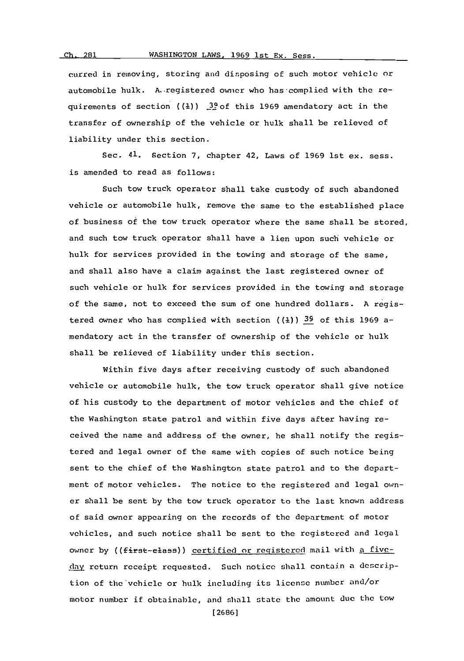## WASHINGTON LAWS, 1969 1st Ex. Sess.

**ch** 281

curred in removing, storing **and** disposing of such motor vehicle or automobile hulk. A..registered owner who has-complied with the requirements of section **((R))** .22of this **1969** amendatory act in the transfer of ownership of the vehicle or hulk shall be relieved of liability under this section.

Sec. 41. Section **7,** chapter 42, Laws of **1969** 1st ex. sess. is amended to read as follows:

Such tow truck operator shall take custody of such abandoned vehicle or automobile hulk, remove the same to the established place of business of the tow truck operator where the same shall be stored, and such tow truck operator shall have a lien upon such vehicle or hulk for services provided in the towing and storage of the same, and shall also have a claim against the last registered owner of such vehicle or hulk for services provided in the towing and storage of the same, not to exceed the sum of one hundred dollars. **A** registered owner who has complied with section **((1)) 39** of this **1969** amendatory act in the transfer of ownership of the vehicle or hulk shall be relieved of liability under this section.

Within five days after receiving custody of such abandoned vehicle or automobile hulk, the tow truck operator shall give notice of his custody to the department of motor vehicles and the chief of the Washington state patrol and within five days after having received the name and address of the owner, he shall notify the registered and legal owner of the same with copies of such notice being sent to the chief of the Washington state patrol and to the department of motor vehicles. The notice to the registered and legal owner shall be sent **by** the tow truck operator to the last known address of said owner appearing on the records of the department of motor vehicles, and such notice shall be sent to the registered and lcgal owner by ((first-elass)) certified or registered mail with a fiveday return receipt requested. Such notice shall contain a description of the'vehicle or hulk including its license number and/or motor number if obtainable, and shall state the amount due the tow

**[2686]**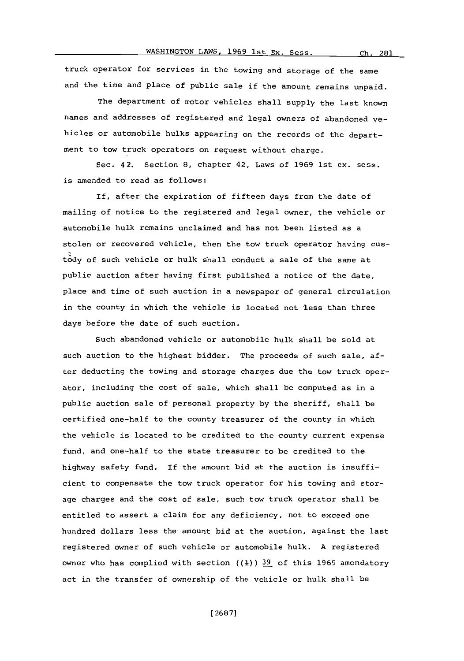truck operator for services in the towing and storage of the same and the time and place of public sale if the amount remains unpaid.

The department of motor vehicles shall supply the last known names and addresses of registered and legal owners of abandoned vehicles or automobile hulks appearing on the records of the department to tow truck operators on request without charge.

Sec. 42. Section **8,** chapter 42, Laws of **1969** 1st ex. sess. is amended to read as follows:

If, after the expiration of fifteen days from the date of mailing of notice to the registered and legal owner, the vehicle or automobile hulk remains unclaimed and has not been listed as a stolen or recovered vehicle, then the tow truck operator having custody of such vehicle or hulk shall conduct a sale of the same at public auction after having first published a notice of the date, place and time **of** such auction in a newspaper of general circulation in the county in which the vehicle is located not less than three days before the date of such auction.

Such abandoned vehicle or automobile hulk shall be sold at such auction to the highest bidder. The proceeds of such sale, after deducting the towing and storage charges due the tow truck operator, including the cost of sale, which shall be computed as in a public auction sale of personal property **by** the sheriff, shall be certified one-half to the county treasurer of the county in which the vehicle is located to be credited to the county current expense fund, and one-half to the state treasurer to be credited to the highway safety fund. If the amount bid at the auction is insufficient to compensate the tow truck operator for his towing and storage charges and the cost of sale, such tow truck operator shall be entitled to assert a claim for any deficiency, not to exceed one hundred dollars less the amount bid at the auction, against the last registered owner **of** such vehicle or automobile hulk. **A** registered owner who has complied with section **((1)) 39** of this **1969** amendatory act in the transfer of ownership of the vehicle or hulk shall be

**[ 2687]**

281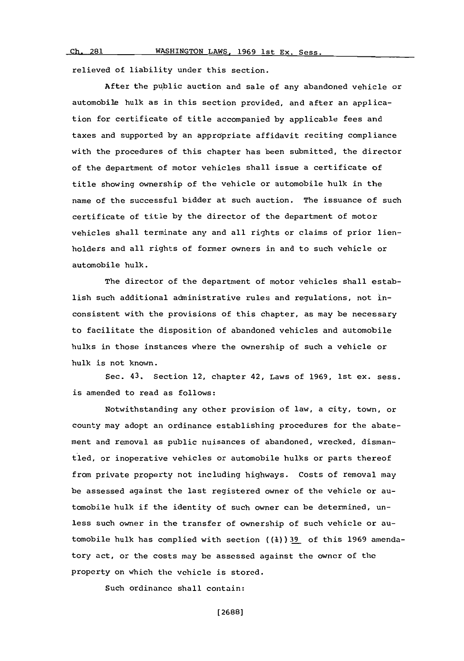$Ch. 281$ 

relieved of liability under this section.

After the public auction and sale of any abandoned vehicle or automobile hulk as in this section provided, and after an application for certificate of title accompanied **by** applicable fees and taxes and supported **by** an appropriate affidavit reciting compliance with the procedures of this chapter has been submitted, the director of the department of motor vehicles shall issue a certificate **of** title showing ownership of the vehicle or automobile hulk in the name of the successful bidder at such auction. The issuance of such certificate of title **by** the director of the department of motor vehicles shall terminate any and all rights or claims of prior lienholders and all rights of former owners in and to such vehicle or automobile hulk.

The director of the department of motor vehicles shall establish such additional administrative rules and regulations, not inconsistent with the provisions of this chapter, as may be necessary to facilitate the disposition of abandoned vehicles and automobile hulks in those instances where the ownership of such a vehicle or hulk is not known.

Sec. 43. Section 12, chapter 42, Laws of **1969,** 1st ex. sess. is amended to read as follows:

Notwithstanding any other provision of law, a city, town, or county may adopt an ordinance establishing procedures for the abatement and removal as public nuisances of abandoned, wrecked, dismantled, or inoperative vehicles or automobile hulks or parts thereof from private property not including highways. Costs of removal may be assessed against the last registered owner of the vehicle or automobile hulk if the identity of such owner can be determined, unless such owner in the transfer of ownership of such vehicle or automobile hulk has complied with section **((I))9\_** of this **1969** amendatory act, or the costs may be assessed against the owner of the property on which the vehicle is stored.

Such ordinancc shall contain: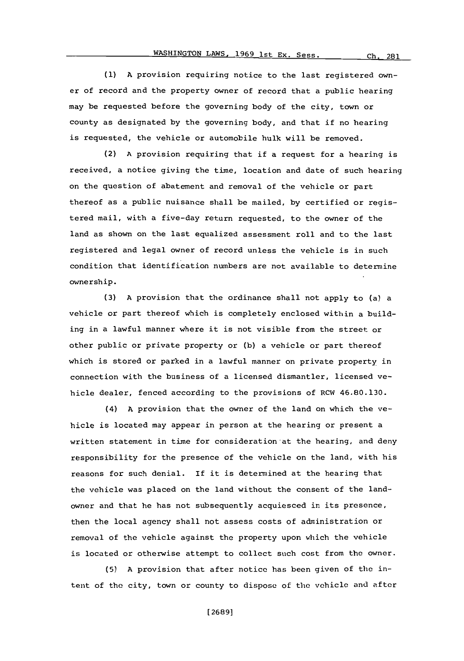**(1) A** provision requiring notice to the last registered owner of record and the property owner of record that a public hearing may be requested before the governing body of the city, town or county as designated **by** the governing body, and that if no hearing is requested, the vehicle or automobile hulk will be removed.

(2) **A** provision requiring that if a request for a hearing is received, a notice giving the time, location and date of such hearing on the question of abatement and removal of the vehicle or part thereof as a public nuisance shall be mailed, **by** certified or registered mail, with a five-day return requested, to the owner of the land as shown on the last equalized assessment roll and to the last registered and legal owner of record unless the vehicle is in such condition that identification numbers are not available to determine ownership.

**(3) A** provision that the ordinance shall not apply to (a) a vehicle or part thereof which is completely enclosed within a building in a lawful manner where it is not visible from the street or other public or private property or **(b)** a vehicle or part thereof which is stored or parked in a lawful manner on private property in connection with the business of a licensed dismantler, licensed vehicle dealer, fenced according to the provisions of RCW 46.80.130.

(4) **A** provision that the owner of the land on which the vehicle is located may appear in person at the hearing or present a written statement in time for consideration at the hearing, and deny responsibility for the presence of the vehicle on the land, with his reasons for such denial. If it is determined at the hearing that the vehicle was placed on the land without the consent of the landowner and that he has not subsequently acquiesced in its presence, then the local agency shall not assess costs of administration or removal of the vehicle against the property upon which the vehicle is located or otherwise attempt to collect such cost from the owner.

**(5) A** provision that after notice has been given of the intent of the city, town or county to dispose of the vehicle and after

**[ 26891**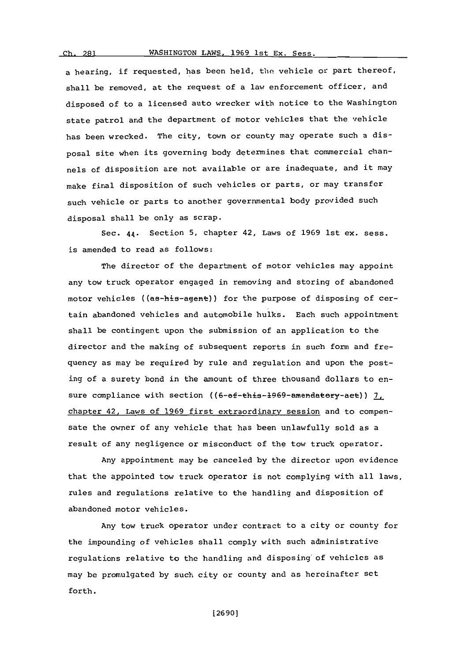WASHINGTON LAWS, 1969 1st Ex. Sess.

a bearing, if requested, has been held, the vehicle or part thereof, shall be removed, at the request of a law enforcement officer, and disposed of to a licensed auto wrecker with notice to the Washington state patrol and the department of motor vehicles that the vehicle has been wrecked. The city, town or county may operate such a disposal site when its governing body determines that commercial channels of disposition are not available or are inadequate, and it may make final disposition of such vehicles or parts, or may transfer such vehicle or parts to another governmental body provided such disposal shall be only as scrap.

Sec. 44. Section **5,** chapter 42, Laws of **1969** 1st ex. sess. is amended to read as follows:

The director of the department of motor vehicles may appoint any tow truck operator engaged in removing and storing of abandoned motor vehicles ((as-his-agent)) for the purpose of disposing of certain abandoned vehicles and automobile hulks. Each such appointment shall be contingent upon the submission of an application to the director and the making of subsequent reports in such form and frequency as may be required **by** rule and regulation and upon the posting of a surety bond in the amount of three thousand dollars to ensure compliance with section ((6-ef-this-1969-amendatery-aet)) 7, chapter 42, Laws of **1969** first extraordinary session and to compensate the owner of any vehicle that has been unlawfully sold as a result of any negligence or misconduct of the tow truck operator.

Any appointment may be canceled **by** the director upon evidence that the appointed tow truck operator is not complying with all laws, rules and regulations relative to the handling and disposition of abandoned motor vehicles.

Any tow truck operator under contract to a city or county for the impounding of vehicles shall comply with such administrative regulations relative to the handling and disposing of vehicles as may **bc** promulgated **by** such city or county and as hereinafter set forth.

**[ 2690]**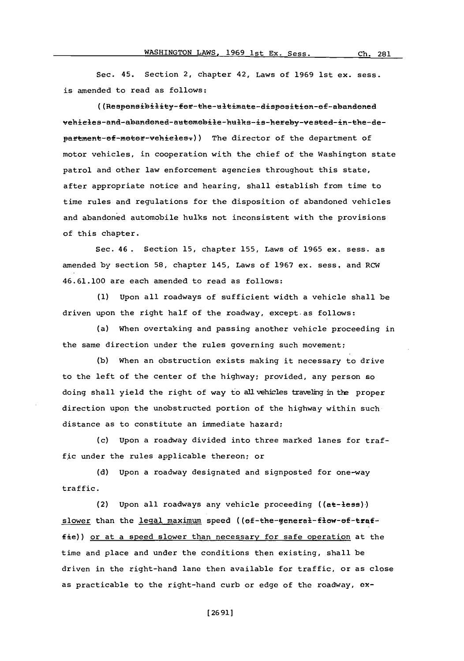Sec. 45. Section 2, chapter 42, Laws of **1969** 1st ex. sess. is amended to read as follows:

((Responsibility-for-the-ultimate-disposition-of-abandoned vehicles-and-abandoned-automobile-hulks-is-hereby-vested-in-the-department-of-motor-vehieles.)) The director of the department of motor vehicles, in cooperation with the chief of the Washington state patrol and other law enforcement agencies throughout this state, after appropriate notice and hearing, shall establish from time to time rules and regulations for the disposition of abandoned vehicles and abandoned automobile hulks not inconsistent with the provisions of this chapter.

Sec. 46 . Section **15,** chapter **155,** Laws of **1965** ex. sess. as amended **by** section **58,** chapter 145, Laws of **1967** ex. sess, and RCW 46.61.100 are each amended to read as follows:

**(1)** Upon all roadways of sufficient width a vehicle shall be driven upon the right half of the roadway, except-as follows:

(a) When overtaking and passing another vehicle proceeding in the same direction under the rules governing such movement;

**(b)** When an obstruction exists making it necessary to drive to the left of the center of the highway; provided, any person so doing shall yield the right of way to all vehicles traveling in the proper direction upon the unobstructed portion of the highway within such distance as to constitute an immediate hazard;

(c) upon a roadway divided into three marked lanes for traffic under the rules applicable thereon; or

**(d)** Upon a roadway designated and signposted for one-way traffic.

(2) Upon all roadways any vehicle proceeding ((at-less)) slower than the legal maximum speed ((ef-the-general-flow-ef-traffie)) or at a speed slower than necessary for safe operation at the tine and place and under the conditions then existing, shall be driven in the right-hand lane then available for traffic, or as close as practicable to the right-hand curb or edge of the roadway, ox-

**[ 2691]**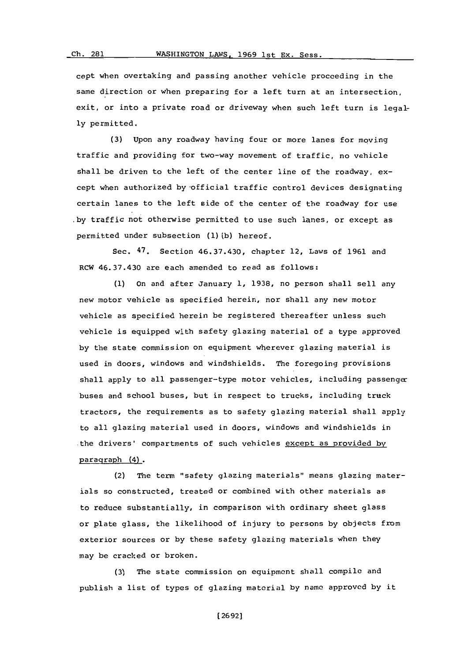cept when overtaking and passing another vehicle procceding in the sane direction or when preparing for a left turn at an intersection, exit, or into a private road or driveway when such left turn is legal**ly** permitted.

**(3)** Upon any roadway having four or more lanes for moving traffic and providing for two-way movement of traffic, no vehicle shall be driven to the left of the center line of the roadway, except when authorized by-official traffic control devices designating certain lanes to the left side of the center of the roadway for use **by** traffic not otherwise permitted to use such lanes, or except as permitted under subsection **(1) (b)** hereof.

Sec. 47. Section 46.37.430, chapter 12, Laws of **1961** and RCW 46.37.430 are each amended to read as follows:

**(1)** on and after January **1, 1938,** no person shall sell any new motor vehicle as specified herein, nor shall any new motor vehicle as specified herein be registered thereafter unless such vehicle is equipped with safety glazing material of a type approved **by** the state commission on equipment wherever glazing material is used in doors, windows and windshields. The foregoing provisions shall apply to all passenger-type motor vehicles, including passenger buses and school buses, but in respect to trucks, including truck tractors, the requirements as to safety glazing material shall apply to all glazing material used in doors, windows and windshields in the drivers' compartments of such vehicles except as provided **by** paragraph (4).

(2) The term "safety glazing materials" means glazing materials so constructed, treated or combined with other materials as to reduce substantially, in comparison with ordinary sheet glass or plate glass, the likelihood of injury to persons **by** objects from exterior sources or **by** these safety glazing materials when they may be cracked or broken.

**(3)** The state commission on equipment shall compile and publish a list of types of glazing material **by** name approved **by** it

**[26921**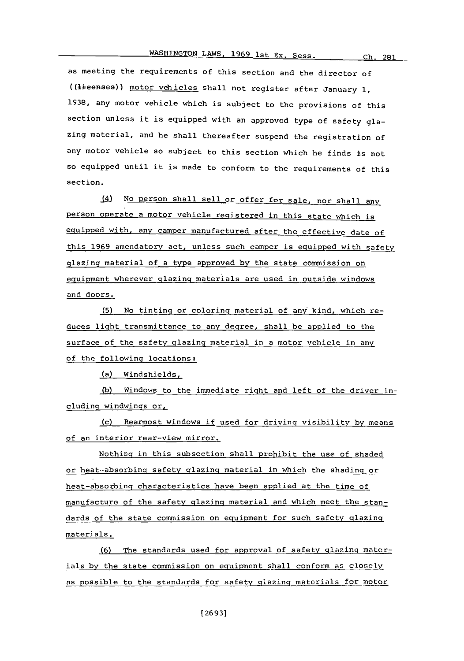as meeting the requirements of this section and the director of ((lieenses)) motor vehicles shall not register after January 1, **1938,** any motor vehicle which is subject to the provisions of this section unless it is equipped with an approved type of safety glazing material, and he shall thereafter suspend the registration of any motor vehicle so subject to this section which he finds is not so equipped until it is made to conform to the requirements of this section.

(4) No person shall sell or offer for sale, nor shall any person operate a motor vehicle registered in this state which is equipped with, any camper manufactured after the effective date of this **1969** amendatory act, unless such camper is equipped with safety glazing material of a type approved **by** the state commission on equipment wherever glazing materials are used in outside windows and doors.

**(5)** No tinting or coloring material of anV kind, which reduces light transmittance to any degree, shall be applied to the surface of the safety glazing material in a motor vehicle in any of the following locations:

(a) Windshields,

**(b)** Windows to the immediate right and left of the driver including windwings  $or_L$ 

(c) Rearmost windows **if** used for driving visibility **by** means of an interior rear-view mirror.

Nothing in this subsection shall prohibit the use of shaded or heat--absorbing safety glazing material in which the shading or heat-absorbing characteristics have been applied at the time of manufacture of the safety qlazing material and which meet the standards of the state commission on equipment for such safety glazing materials.

(6) The standards used for approval of safety glazing materials **by** the state commission on equipment shall conform as closely as possible to the standards for safety glazing materials for motor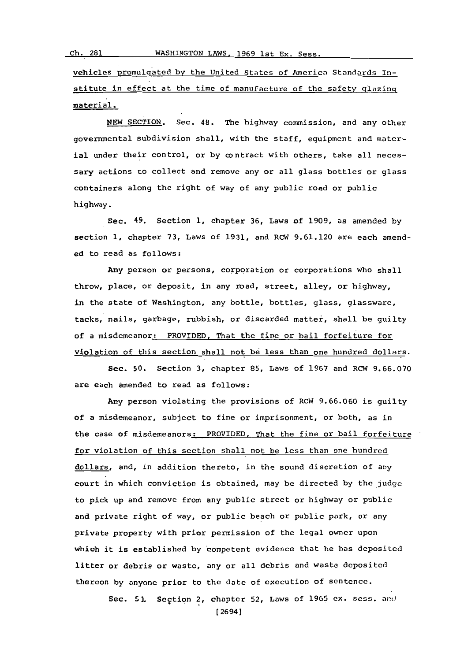vehicles Promulgated **by** the United States of America Standards Institute in effect at the time of manufacture of the safety glazing material.\_

**NEW SECTION.** Sec. 48. The highway commission, and any other governmental subdivision shall, with the staff, equipment and material under their control, or by contract with others, take all necessary actions to collect and remove any or all glass bottles or glass containers along the right of way of any public road or public highway.

Sec. 49. Section **1,** chapter **36,** Laws of **1909,** as amended **by** section **1,** chapter **73,** Laws of **1931,** and ROW **9.61.120** are each amended to read as follows:

Any person or persons, corporation or corporations who shall throw, place, or deposit, in any road, street, alley, or highway, in the state of Washington, any bottle, bottles, glass, glassware, tacks, nails, garbage, rubbish, or discarded matter, shall be guilty of a misdemeanor: PROVIDED, That the fine or bail forfeiture for violation of this section shall not **be** less than one hundred dollars.

Sec. **50.** Section **3,** chapter **85,** Laws of **1967** and ROW **9.66.070** are each amended to read as follows:

Any person violating the provisions of RCW **9.66.060** is guilty of a misdemeanor, subject to fine or imprisonment, or both, as in the case of misdemeanors: PROVIDED, That the fine or bail forfeiture for violation of this section shall not be less than one hundred dollars, and, in addition thereto, in the sound discretion of any court in which conviction is obtained, may be directed **by** the judge to pick up and remove from any public street or highway or public and private right of way, or public beach or public park, or any private property with prior permission of the legal owner upon which it is established by competent evidence that he has deposited litter or debris or waste, any or all debris and waste deposited thereon **by** anyone prior to the date of execution of sentence.

> Sec. **51.** Section 2, chapter **52,** Laws of **1965** ex. sess. and [2694]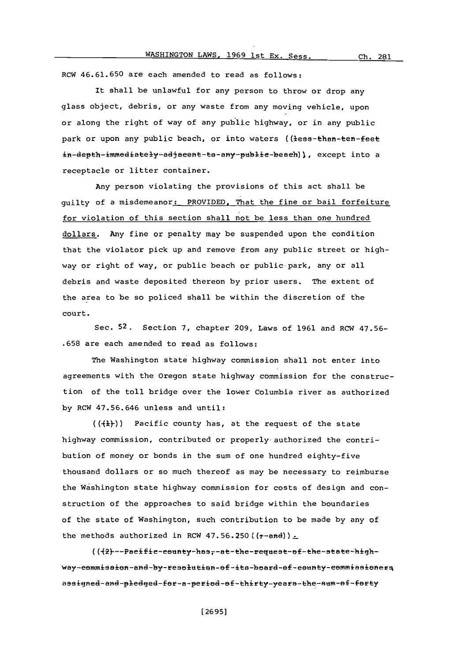## WASHINGTON LAWS, **1969** 1st **Ex.** Sess. **Ch. 281**

ROW **46.61.650** are each amended to read as follows:

It shall be unlawful for any person to throw or drop any glass object, debris, or any waste from any moving vehicle, upon or along the right of way of any public highway, or in any public park or upon any public beach, or into waters ((less-than-ten-feet in-depth-immediately-adjacent-te-any-public-beach)), except into a receptacle or litter container.

Any person violating the provisions of this act shall be guilty of a misdemeanor: PROVIDED. That the fine or bail forfeiture for violation of this section shall not be less than one hundred dollars. Any fine or penalty may be suspended upon the condition that the violator pick up and remove from any public street or highway or right of way, or public beach or public park, any or all debris and waste deposited thereon **by** prior users. The extent of the area to be so policed shall be within the discretion of the court.

Sec. **52.** Section **7,** chapter **209,** Laws of **1961** and RCW **47.56- .658** are each amended to read as follows:

The Washington state highway commission shall not enter into agreements with the Oregon state highway commission for the construction of the toll bridge over the lower Columbia river as authorized **by** RCW **47.56.646** unless and until:

 $((+1)^{r})$  Pacific county has, at the request of the state highway commission, contributed or properly-authorized the contribution of money or bonds in the sum of one hundred eighty-five thousand dollars or so much thereof as may be necessary to reimburse the Washington state highway commission for costs of design and construction of the approaches to said bridge within the boundaries of the state of Washington, such contribution to be made **by** any of the methods authorized in RCW 47.56.250 ( $(r$ -and)).

((+2)---Pacific-county-has,-at-the-request-of-the-state-highway-eommission-and-by-resolution-of-its-board-of-eounty-eommissioners assigned-and-pledged-for-a-period-of-thirty-years-the-sum-of-forty

**[ 2695]**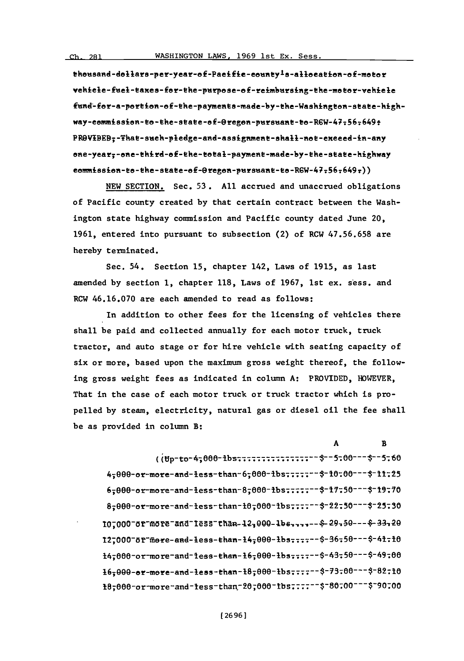thousand -dollars-per-year-e E-Paeifie-eountyIs-alleeatien-o **f-meeo** r vehiele-fuel-taxes-for-the-purpose-of-reimbursing-the-motor-vehiele fund-for-a-portion-of-the-payments-made-by-the-Washington-state-highway-eemmission-to-the-state-ef-Oregon-pursuant-to-R6W-47:56:649: PROVIBEB<sub>r</sub>-That-such-pledge-and-assignment-shall-not-exeeed-in-any one-year,-one-third-of-the-total-payment-made-by-the-state-highway  $e$ ommissien-to-the-state-ef- $O$ regen-pursuant-to-RGW-47-56-649 $_7)$ )

**NEW** SECTION. Sec. **53. All** accrued and unaccrued obligations of Pacific county created **by** that certain contract between the Washington state highway commission and Pacific county dated June 20, **1961,** entered into pursuant to subsection (2) of RCW **47.56.658** are hereby terminated.

Sec. 54. Section **15,** chapter 142, Laws of **1915,** as last amended **by** section **1,** chapter **118,** Laws of **1967,** 1st ex. sess. and RCW **46.16.070** are each amended to read as follows:

In addition to other fees for the licensing of vehicles there shall be paid and collected annually for each motor truck, truck tractor, and auto stage or for hire vehicle with seating capacity of six or more, based upon the maximum gross weight thereof, the following gross weight fees as indicated in column **A:** PROVIDED, HOWEVER, That in the case of each motor truck or truck tractor which is propelled **by** steam, electricity, natural gas or diesel oil the fee shall be as provided in column B:

| $(i\theta p-to-4=000-1b$ s::::::::::::::::-- \$--5:00---\$--5:60                                     |  |
|------------------------------------------------------------------------------------------------------|--|
| 4,000-or-more-and-less-than-6,000-lbs ------ \$-10.00--- \$-11.25                                    |  |
| 6,000-or-more-and-less-than-8,000-lbs ------ \$-17-50--- \$-19.70                                    |  |
| 8,000-or-more-and-less-than-10,000-1bs--\$-22.50---\$-25.30                                          |  |
| 10,000-or-more-and-1ess-chan-12,000-1bs,,,,--\$-29,50---\$-33,20                                     |  |
| 12,000 <sup>-</sup> 0r <sup>-</sup> more-and-less-than-14,000-lbs <sub>-</sub> --\$-36.50---\$-41.10 |  |
| 14,000-or-more-and-1ess-than-16,000-1bs,,,,--\$-43,50---\$-49,00                                     |  |
| 16,000-or-more-and-less-than-18,000-lbs;;;;--\$-73.00---\$-82;10                                     |  |
| t0;000-or-more-and-tess-than-20;000-tbs;:::--\$-80;00---\$-90;00                                     |  |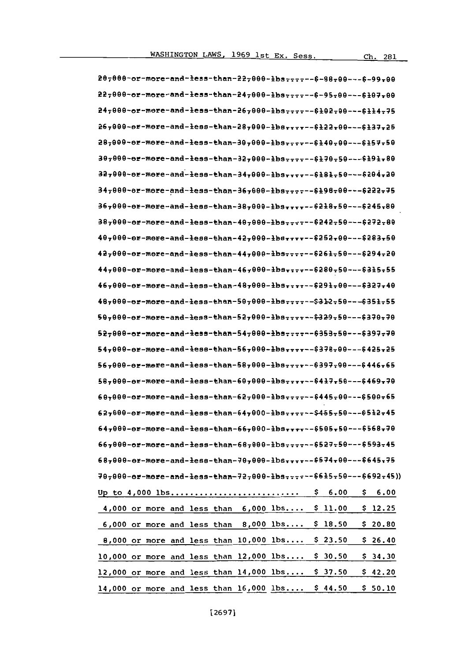| 207000-or-more-and-less-than-227000-lbs ------ 6-88-00---6-99-00                                                                                                                                                                                                   |
|--------------------------------------------------------------------------------------------------------------------------------------------------------------------------------------------------------------------------------------------------------------------|
| 22,000-or-more-and-less-than-24,000-lbs ------ 6-95,00--- 6107,00                                                                                                                                                                                                  |
| 24,000-or-more-and-less-than-26,000-lbs;;;;---6102-00---6114-75                                                                                                                                                                                                    |
| 26,000-or-more-and-less-than-28,000-lbs--6122.00---6137.25                                                                                                                                                                                                         |
| 287000-or-more-and-less-than-307000-lbs ------ \$140-00--- \$157-50                                                                                                                                                                                                |
| 30,000-or-more-and-less-than-32,000-lbs-rrr--\$170-50---\$191.80                                                                                                                                                                                                   |
| 32,000-or-more-and-less-than-34,000-lbsrrrr--\$181,50---\$204,20                                                                                                                                                                                                   |
| 34,000-or-more-and-less-than-36,000-lbs------6198-00---6222-75                                                                                                                                                                                                     |
| 36,000-or-more-and-less-than-38,000-lbs,,,,--\$218,50---\$245,80                                                                                                                                                                                                   |
| 38,000-or-more-and-less-than-40,000-lbs------6242-50---6272-80                                                                                                                                                                                                     |
| 40,000-or-more-and-less-than-42,000-lbs--\$252.00---\$283.50                                                                                                                                                                                                       |
| 42,000-or-more-and-less-than-44,000-lbs-------\$261-50---\$294-20                                                                                                                                                                                                  |
| 447000-or-more-and-less-than-467000-lbs ----- \$280-50--- \$315-55                                                                                                                                                                                                 |
| 46,000-or-more-and-less-than-48,000-lbs--\$291-00---\$327.40                                                                                                                                                                                                       |
| 487000-or-more-and-less-than-507000-lbs ------\$312-50---6351-55                                                                                                                                                                                                   |
| 50,000-or-more-and-less-than-52,000-lbs------ \$329-50--- \$370-70                                                                                                                                                                                                 |
| 52,000-or-more-and-less-than-54,000-lbs--6353.50---6397.70                                                                                                                                                                                                         |
| 54,000-or-more-and-less-than-56,000-lbs-8378-00---6425.25                                                                                                                                                                                                          |
| 567000-or-more-and-less-than-587000-lbs------6397-00---6446-65                                                                                                                                                                                                     |
| 58,000-or-more-and-less-than-60,000-lbs------6417,50---6469,70                                                                                                                                                                                                     |
| $697000 - 02$ -more-and-less-than-627000-lbs ------ 6445-00---6500-65                                                                                                                                                                                              |
| $627000 - 000 - 0000 - 0000 - 000 - 0000 - 0000 - 0000 - 0000 - 0000 - 0000 - 0000 - 0000 - 0000 - 0000 - 0000 - 0000 - 0000 - 0000 - 0000 - 0000 - 0000 - 0000 - 0000 - 0000 - 0000 - 0000 - 0000 - 0000 - 0000 - 0000 - 0000 - 0000 - 0000 - 0000 - 0000 - 0000$ |
| $647000 - 05568 - 0000$                                                                                                                                                                                                                                            |
| 667000-or-more-and-less-than-687000-lbs------6527-50---6593-45                                                                                                                                                                                                     |
| 68,000-or-more-and-less-than-70,000-lbs--\$574,00---\$645,75                                                                                                                                                                                                       |
| 70,000-or-more-and-less-than-72,000-lbs--6615.50---6692.45))                                                                                                                                                                                                       |
| 6.00<br>\$6.00<br>Ş.                                                                                                                                                                                                                                               |
| 4,000 or more and less than $6,000$ lbs $$11.00$<br>\$12.25                                                                                                                                                                                                        |
| 6,000 or more and less than $8,000$ lbs $$18.50$<br>\$20.80                                                                                                                                                                                                        |
| 8,000 or more and less than 10,000 lbs \$ 23.50<br>\$26.40                                                                                                                                                                                                         |
| 10,000 or more and less than $12,000$ lbs \$ 30.50<br>\$34.30                                                                                                                                                                                                      |
| 12,000 or more and less than 14,000 lbs \$ 37.50<br>\$42.20                                                                                                                                                                                                        |
| 14.000 or more and less than $16.000$ $1bs$ \$ 44.50<br>\$50.10                                                                                                                                                                                                    |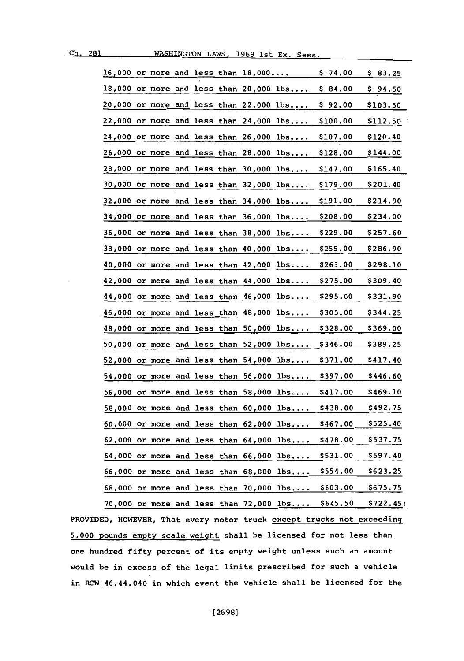|         |                                                                                                                                            |                                                                                                                         | \$.74.00                                                                                                                                                                                                                                                                                                                                                                                                                                                                                                                                                                                                                                                                                                                                                                                                                                                                                                                                                                                                                                                | \$83.25                                                                                                              |
|---------|--------------------------------------------------------------------------------------------------------------------------------------------|-------------------------------------------------------------------------------------------------------------------------|---------------------------------------------------------------------------------------------------------------------------------------------------------------------------------------------------------------------------------------------------------------------------------------------------------------------------------------------------------------------------------------------------------------------------------------------------------------------------------------------------------------------------------------------------------------------------------------------------------------------------------------------------------------------------------------------------------------------------------------------------------------------------------------------------------------------------------------------------------------------------------------------------------------------------------------------------------------------------------------------------------------------------------------------------------|----------------------------------------------------------------------------------------------------------------------|
|         |                                                                                                                                            |                                                                                                                         | \$84.00                                                                                                                                                                                                                                                                                                                                                                                                                                                                                                                                                                                                                                                                                                                                                                                                                                                                                                                                                                                                                                                 | Ş.<br>94.50                                                                                                          |
|         |                                                                                                                                            |                                                                                                                         | \$92.00                                                                                                                                                                                                                                                                                                                                                                                                                                                                                                                                                                                                                                                                                                                                                                                                                                                                                                                                                                                                                                                 | \$103.50                                                                                                             |
|         |                                                                                                                                            |                                                                                                                         | \$100.00                                                                                                                                                                                                                                                                                                                                                                                                                                                                                                                                                                                                                                                                                                                                                                                                                                                                                                                                                                                                                                                | \$112.50                                                                                                             |
|         |                                                                                                                                            |                                                                                                                         | \$107.00                                                                                                                                                                                                                                                                                                                                                                                                                                                                                                                                                                                                                                                                                                                                                                                                                                                                                                                                                                                                                                                | \$120.40                                                                                                             |
|         |                                                                                                                                            |                                                                                                                         | <u>\$128.00</u>                                                                                                                                                                                                                                                                                                                                                                                                                                                                                                                                                                                                                                                                                                                                                                                                                                                                                                                                                                                                                                         | \$144.00                                                                                                             |
|         |                                                                                                                                            |                                                                                                                         | \$147.00                                                                                                                                                                                                                                                                                                                                                                                                                                                                                                                                                                                                                                                                                                                                                                                                                                                                                                                                                                                                                                                | \$165.40                                                                                                             |
|         |                                                                                                                                            |                                                                                                                         | \$179.00                                                                                                                                                                                                                                                                                                                                                                                                                                                                                                                                                                                                                                                                                                                                                                                                                                                                                                                                                                                                                                                | \$201.40                                                                                                             |
|         |                                                                                                                                            |                                                                                                                         | \$191.00                                                                                                                                                                                                                                                                                                                                                                                                                                                                                                                                                                                                                                                                                                                                                                                                                                                                                                                                                                                                                                                | \$214.90                                                                                                             |
|         |                                                                                                                                            | lbs                                                                                                                     | <u>\$208.00</u>                                                                                                                                                                                                                                                                                                                                                                                                                                                                                                                                                                                                                                                                                                                                                                                                                                                                                                                                                                                                                                         | \$234.00                                                                                                             |
|         |                                                                                                                                            |                                                                                                                         | \$229.00                                                                                                                                                                                                                                                                                                                                                                                                                                                                                                                                                                                                                                                                                                                                                                                                                                                                                                                                                                                                                                                | \$257.60                                                                                                             |
|         |                                                                                                                                            |                                                                                                                         | \$255.00                                                                                                                                                                                                                                                                                                                                                                                                                                                                                                                                                                                                                                                                                                                                                                                                                                                                                                                                                                                                                                                | \$286.90                                                                                                             |
| or more |                                                                                                                                            |                                                                                                                         | \$265.00                                                                                                                                                                                                                                                                                                                                                                                                                                                                                                                                                                                                                                                                                                                                                                                                                                                                                                                                                                                                                                                | <b>\$298.10</b>                                                                                                      |
|         |                                                                                                                                            |                                                                                                                         | \$275.00                                                                                                                                                                                                                                                                                                                                                                                                                                                                                                                                                                                                                                                                                                                                                                                                                                                                                                                                                                                                                                                | \$309.40                                                                                                             |
|         |                                                                                                                                            |                                                                                                                         | \$295.00                                                                                                                                                                                                                                                                                                                                                                                                                                                                                                                                                                                                                                                                                                                                                                                                                                                                                                                                                                                                                                                | \$331.90                                                                                                             |
|         |                                                                                                                                            | 1bs                                                                                                                     | \$305.00                                                                                                                                                                                                                                                                                                                                                                                                                                                                                                                                                                                                                                                                                                                                                                                                                                                                                                                                                                                                                                                | \$344.25                                                                                                             |
|         |                                                                                                                                            |                                                                                                                         | \$328.00                                                                                                                                                                                                                                                                                                                                                                                                                                                                                                                                                                                                                                                                                                                                                                                                                                                                                                                                                                                                                                                | \$369.00                                                                                                             |
|         |                                                                                                                                            |                                                                                                                         |                                                                                                                                                                                                                                                                                                                                                                                                                                                                                                                                                                                                                                                                                                                                                                                                                                                                                                                                                                                                                                                         | \$389.25                                                                                                             |
|         |                                                                                                                                            |                                                                                                                         |                                                                                                                                                                                                                                                                                                                                                                                                                                                                                                                                                                                                                                                                                                                                                                                                                                                                                                                                                                                                                                                         | <b>\$417.40</b>                                                                                                      |
|         |                                                                                                                                            |                                                                                                                         |                                                                                                                                                                                                                                                                                                                                                                                                                                                                                                                                                                                                                                                                                                                                                                                                                                                                                                                                                                                                                                                         | <b>\$446.60</b>                                                                                                      |
|         |                                                                                                                                            |                                                                                                                         |                                                                                                                                                                                                                                                                                                                                                                                                                                                                                                                                                                                                                                                                                                                                                                                                                                                                                                                                                                                                                                                         | \$469.10                                                                                                             |
|         |                                                                                                                                            |                                                                                                                         |                                                                                                                                                                                                                                                                                                                                                                                                                                                                                                                                                                                                                                                                                                                                                                                                                                                                                                                                                                                                                                                         | \$492.75                                                                                                             |
|         |                                                                                                                                            |                                                                                                                         |                                                                                                                                                                                                                                                                                                                                                                                                                                                                                                                                                                                                                                                                                                                                                                                                                                                                                                                                                                                                                                                         | <b>\$525.40</b>                                                                                                      |
|         |                                                                                                                                            |                                                                                                                         |                                                                                                                                                                                                                                                                                                                                                                                                                                                                                                                                                                                                                                                                                                                                                                                                                                                                                                                                                                                                                                                         | \$537.75                                                                                                             |
|         |                                                                                                                                            |                                                                                                                         |                                                                                                                                                                                                                                                                                                                                                                                                                                                                                                                                                                                                                                                                                                                                                                                                                                                                                                                                                                                                                                                         | <b>\$597.40</b>                                                                                                      |
|         |                                                                                                                                            |                                                                                                                         |                                                                                                                                                                                                                                                                                                                                                                                                                                                                                                                                                                                                                                                                                                                                                                                                                                                                                                                                                                                                                                                         | <b>\$623.25</b>                                                                                                      |
|         |                                                                                                                                            |                                                                                                                         |                                                                                                                                                                                                                                                                                                                                                                                                                                                                                                                                                                                                                                                                                                                                                                                                                                                                                                                                                                                                                                                         | \$675.75                                                                                                             |
|         |                                                                                                                                            |                                                                                                                         | \$645.50                                                                                                                                                                                                                                                                                                                                                                                                                                                                                                                                                                                                                                                                                                                                                                                                                                                                                                                                                                                                                                                | \$722.45:                                                                                                            |
|         | 52,000 or more and less<br><b>58,000 or more and less</b><br>60,000 or more and less<br>64,000 or more and less<br>66,000 or more and less | 34,000 or more and less than 36,000<br>46,000 or more and less than 48,000<br>than 60,000<br>than 62,000<br>than 68,000 | 16,000 or more and less than 18,000<br>18,000 or more and less than 20,000 lbs<br>20,000 or more and less than 22,000 lbs<br>22,000 or more and less than 24,000 lbs<br>24,000 or more and less than 26,000 lbs<br>26,000 or more and less than 28,000 lbs<br>$28,000$ or more and less than $30,000$ lbs<br>$30,000$ or more and less than $32,000$ lbs<br>32,000 or more and less than 34,000 lbs<br>$36,000$ or more and less than $38,000$ lbs<br>$38,000$ or more and less than $40,000$ lbs<br>and less than $42,000$ lbs<br>$42,000$ or more and less than $44,000$ lbs<br>$44,000$ or more and less than $46,000$ lbs<br>$48,000$ or more and less than $50,000$ lbs<br>$50,000$ or more and less than $52,000$ lbs<br>than $54,000$ lbs<br>54,000 or more and less than 56,000 lbs<br>56,000 or more and less than 58,000<br>1 <sub>b</sub> <b>s</b><br>1bs<br>$1b$ s<br>$62,000$ or more and less than $64,000$ lbs<br>than $66,000$ lbs<br>1bs<br>$68,000$ or more and less than $70,000$ lbs<br>$70,000$ or more and less than $72,000$ lbs | \$346.00<br>\$371.00<br>\$397.00<br>\$417.00<br>\$438.00<br>\$467.00<br>\$478.00<br>\$531.00<br>\$554.00<br>\$603.00 |

PROVIDED, HOWEVER, That every motor truck except trucks not exceeding **5,000** pounds empty scale weight shall be licensed for not less than. one hundred fifty percent of its empty weight unless such an amount would be in excess of the legal limits prescribed for such a vehicle in RCW 46.44.040 in which event the vehicle shall be licensed for the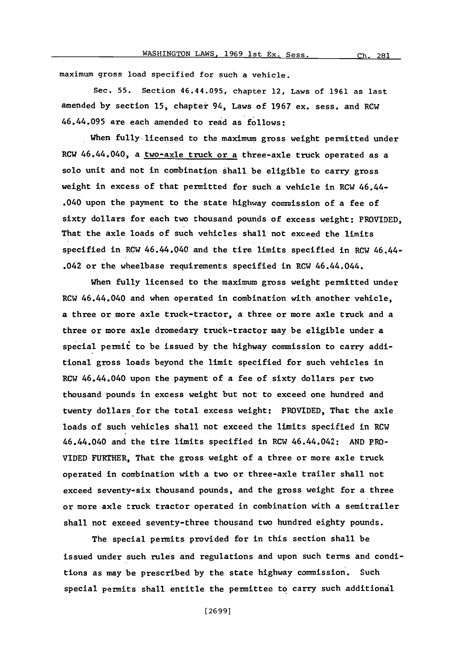maximum gross load specified for such a vehicle.

Sec. **55.** Section 46.44.095, chapter 12, Laws of **1961** as last amended **by** section **15,** chapter 94, Laws of **1967** ex. sess. and RC'4 46.44.095 are each amended to read as follows:

When fully-licensed to the maximum gross weight permitted under RCW 46.44.040, a two-axle truck or a three-axle truck operated as a solo unit and not in combination shall be eligible to carry gross weight in excess of that permitted for such a vehicle in RCW 46.44- .040 upon the payment to the state highway commission of a fee of sixty dollars for each two thousand pounds of excess weight: PROVIDED, That the axle loads of such vehicles shall not exceed the limits specified in RCW 46.44.040 and the tire limits specified in RCW 46.44- .042 or the wheelbase requirements specified in RCW 46.44.044.

When fully licensed to the maximum gross weight permitted under RCW 46.44.040 and when operated in combination with another vehicle, a three or more axle truck-tractor, a three or more axle truck and a three or more axle dromedary truck-tractor may be eligible under a special permit to be issued **by** the highway commission to carry additional gross loads beyond the limit specified for such vehicles in RCW 46.44.040 upon the payment of a fee of sixty dollars per two thousand pounds in excess weight but not to exceed one hundred and twenty dollars for the total excess weight: PROVIDED, That the axle loads of such vehicles shall not exceed the limits specified in RCW 46.44.040 and the tire limits specified in RCW 46.44.042: **AND** PRO-VIDED FURTHER, That the gross weight of a three or more axle truck operated in combination with a two or three-axle trailer shall not exceed seventy-six thousand pounds, and the gross weight for a three or more axle truck tractor operated in combination with a semitrailer shall not exceed seventy-three thousand two hundred eighty pounds.

The special permits provided for in this section shall be issued under such rules and regulations and upon such terms and conditions as may be prescribed **by** the state highway commission. Such special permits shall entitle the permittee to carry such additional

**[ 26 991**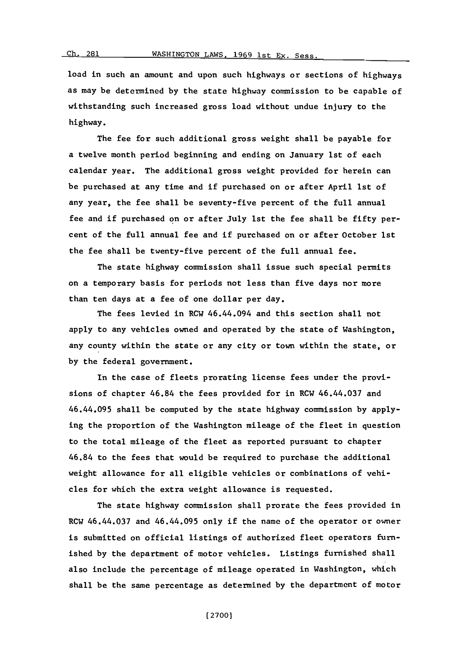load in such an amount and upon such highways or sections of highways as may be determined **by** the state highway commission to be capable of withstanding such increased gross load without undue injury to the highway.

The fee for such additional gross weight shall be payable for a twelve month period beginning and ending on January 1st of each calendar year. The additional gross weight provided for herein can be purchased at any time and if purchased on or after April 1st of any year, the fee shall be seventy-five percent of the full annual fee and if purchased on or after July 1st the fee shall be fifty percent of the full annual fee and if purchased on or after October 1st the fee shall be twenty-five percent of the full annual fee.

The state highway commission shall issue such special permits on a temporary basis for periods not less than five days nor more than ten days at a fee of one dollar per day.

The fees levied in RCW 46.44.094 and this section shall not apply to any vehicles owned and operated **by** the state of Washington, any county within the state or any city or town within the state, or **by** the federal government.

In the case of fleets prorating license fees under the provisions of chapter 46.84 the fees provided for in RCW 46.44.037 and 46.44.095 shall be computed **by** the state highway commission **by** applying the proportion of the Washington mileage of the fleet in question to the total mileage of the fleet as reported pursuant to chapter 46.84 to the fees that would be required to purchase the additional weight allowance for all eligible vehicles or combinations of vehicles for which the extra weight allowance is requested.

The state highway commission shall prorate the fees provided in RCW 46.44.037 and 46.44.095 only if the name of the operator or owner is submitted on official listings of authorized fleet operators furnished **by** the department of motor vehicles. Listings furnished shall also include the percentage of mileage operated in Washington, which shall be the same percentage as determined **by** the department of motor

**(27001**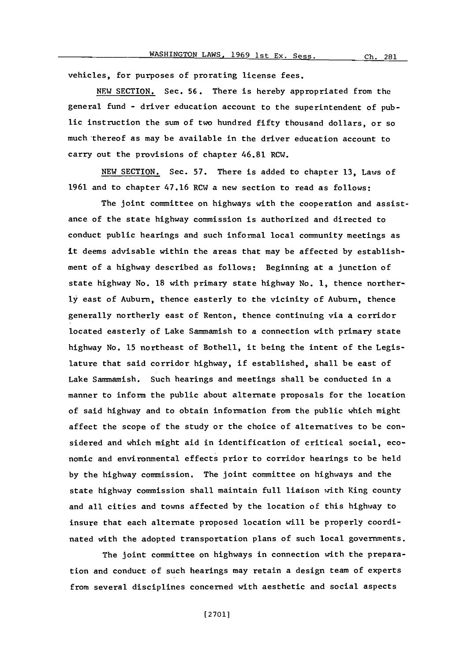vehicles, for purposes of prorating license fees.

**NEW** SECTION. Sec. **56.** There is hereby appropriated from the general fund **-** driver education account to the superintendent of public instruction the sum of two hundred fifty thousand dollars, or so much thereof as may be available in the driver education account to carry out the provisions of chapter 46.81 RCW.

**NEW** SECTION. Sec. **57.** There is added to chapter **13,** Laws of **1961** and to chapter 47.16 RCW a new section to read as follows:

The joint committee on highways with the cooperation and assistance of the state highway commission is authorized and directed to conduct public hearings and such informal local community meetings as it deems advisable within the areas that may be affected **by** establishment of a highway described as follows: Beginning at a junction of state highway No. **18** with primary state highway No. **1,** thence norther**ly** east of Auburn, thence easterly to the vicinity of Auburn, thence generally northerly east of Renton, thence continuing via a corridor located easterly of Lake Sammamish to a connection with primary state highway No. **15** northeast of Bothell, it being the intent of the Legislature that said corridor highway, if established, shall be east of Lake Sammamish. Such hearings and meetings shall be conducted in a manner to inform the public about alternate proposals for the location of said highway and to obtain information from the public which might affect the scope of the study or the choice of alternatives to be considered and which might aid in identification of critical social, economic and environmental effects prior to corridor hearings to be held **by** the highway commission. The joint committee on highways and the state highway commission shall maintain full liaison with King county and all cities and towns affected **by** the location of this highway to insure that each alternate proposed location will be properly coordinated with the adopted transportation plans of such local governments.

The joint committee on highways in connection with the preparation and conduct of such hearings may retain a design team of experts from several disciplines concerned with aesthetic and social aspects

**[(2701]**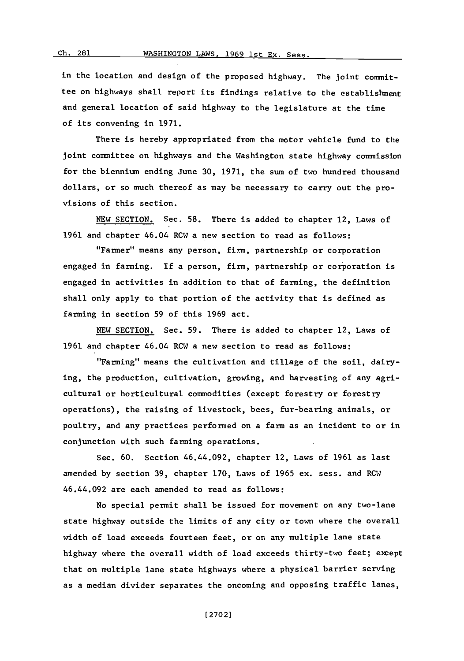in the location and design of the proposed highway. The joint committee on highways shall report its findings relative to the establishment and general location of said highway to the legislature at the time of its convening in **1971.**

There is hereby appropriated from the motor vehicle fund to the joint committee on highways and the Washington state highway commission for the biennium ending June **30, 1971,** the sum of two hundred thousand dollars, or so much thereof as may be necessary to carry out the provisions of this section.

**NEW** SECTION. Sec. **58.** There is added to chapter 12, Laws of **1961** and chapter 46.04 RCW a new section to read as follows:

"Farmer" means any person, firm, partnership or corporation engaged in farming. **If** a person, firm, partnership or corporation is engaged in activities in addition to that of farming, the definition shall only apply to that portion of the activity that is defined as farming in section **59** of this **1969** act.

**NEW SECTION.** Sec. **59.** There is added to chapter 12, Laws of **1961** and chapter 46.04 RCW a new section to read as follows:

"Farming" means the cultivation and tillage of the soil, dairying, the production, cultivation, growing, and harvesting of any agricultural or horticultural commodities (except forestry or forestry operations), the raising of livestock, bees, fur-bearing animals, or poultry, and any practices performed on a farm as an incident to or in conjunction with such farming operations.

Sec. **60.** Section 46.44.092, chapter 12, Laws of **1961** as last amended **by** section **39,** chapter **170,** Laws of **1965** ex. sess. and RCW 46.44.092 are each amended to read as follows:

No special permit shall be issued for movement on any two-lane state highway outside the limits of any city or town where the overall width of load exceeds fourteen feet, or on any multiple lane state highway where the overall width of load exceeds thirty-two feet; except that on multiple lane state highways where a physical barrier serving as a median divider separates the oncoming and opposing traffic lanes,

**Ch.** 281

**(27021**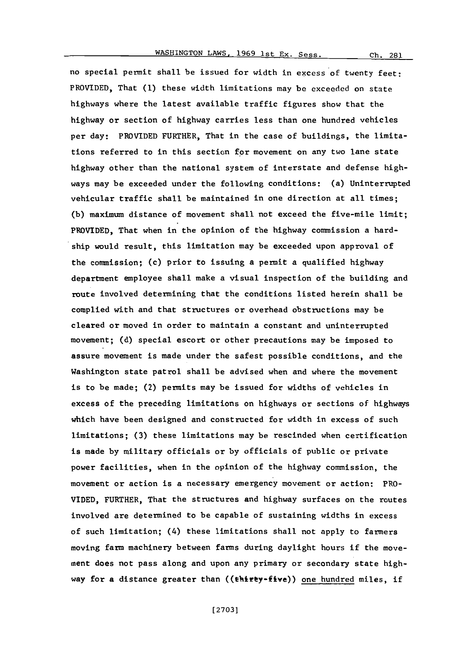no special permit shall be issued for width in excess of twenty feet: PROVIDED, That **(1)** these width limitations may be exceeded on state highways where the latest available traffic figures show that the highway or section of highway carries less than one hundred vehicles per day: PROVIDED FURTHER, That in the case of buildings, the limitations referred to in this section for movement on any two lane state highway other than the national system of interstate and defense highways may be exceeded under the following conditions: (a) Uninterrupted vehicular traffic shall be maintained in one direction at all times; **(b)** maximum distance of movement shall not exceed the five-mile limit; PROVIDED, That when in the opinion of the highway commission a hardship would result, this limitation may be exceeded upon approval of the commission; (c) prior to issuing a permit a qualified highway department employee shall make a visual inspection of the building and route involved determining that the conditions listed herein shall be complied with and that structures or overhead obstructions may be cleared or moved in order to maintain a constant and uninterrupted movement; **(d)** special escort or other precautions may be imposed to assure movement is made under the safest possible conditions, and the Washington state patrol shall be advised when and where the movement is to be made; (2) permits may be issued for widths of vehicles in excess of the preceding limitations on highways or sections of highways which have been designed and constructed for width in excess of such limitations; **(3)** these limitations may be rescinded when certification is made **by** military officials or **by** officials of public or private power facilities, when in the opinion of the highway commission, the movement or action is a necessary emergency movement or action: PRO-**VIDED,** FURTHER, That the structures and highway surfaces on the routes involved are determined to be capable of sustaining widths in excess of such limitation; (4) these limitations shall not apply to farmers moving farm machinery between farms during daylight hours if the movement does not pass along and upon any primary or secondary state highway for a distance greater than  $((\text{thity-five}))$  one hundred miles, if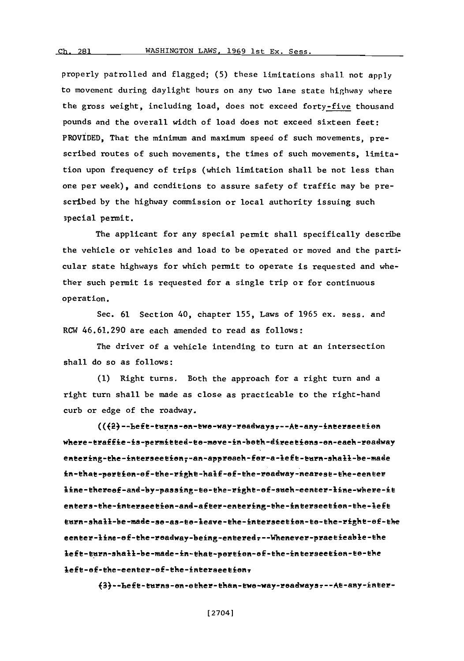$Ch. 281$ 

properly patrolled and flagged; **(5)** these limitations shall, not apply to movement during daylight hours on any two lane state highway where the gross weight, including load, does not exceed forty-five thousand pounds and the overall width of load does not exceed sixteen feet: PROVIDED, That the minimum and maximum speed of such movements, prescribed routes of such movements, the times of such movements, limitation upon frequency of trips (which limitation shall be not less than one per week), and conditions to assure safety of traffic may be prescribed **by** the highway commission or local authority issuing such 3pecial permit.

The applicant for any special permit shall specifically describe the vehicle or vehicles and load to be operated or moved and the particular state highways for which permit to operate is requested and whether such permit is requested for a single trip or for continuous operation.

Sec. **61** Section 40, chapter **155,** Laws of **1965** ex. sess. and RCW 46.61.290 are each amended to read as follows:

The driver of a vehicle intending to turn at an intersection shall do so as follows:

**(1)** Right turns. Both the approach for a right turn and a right turn shall be made as close as practicable to the right-hand curb or edge of the roadway.

(({2}--Left-turns-on-two-way-roadways---At-any-intersection where-traffie-is-permitted-to-move-in-both-directions-on-each-roadway entering-the-interseetion;-an-approach-for-a-left-turn-shall-be-made in-that-pertion-ef-the-right-half-ef-the-readway-nearest-the-eenter line-thereof-and-by-passing-to-the-right-of-such-eenter-line-where-it enters-the-interseetion-and-after-entering-the-interseetion-the-left turn-shall-be-made-so-as-to-leave-the-intersection-to-the-right-of-the eenter-line-of-the-roadway-being-entered---Whenever-praetieable-the<br>left-turn-shall-be-made-in-that-portion-of-the-intersection-to-the left-of-the-eenter-of-the-intersection,

{3} -- Left-turns-on-other-than-two-way-roadways --- At-any-inter-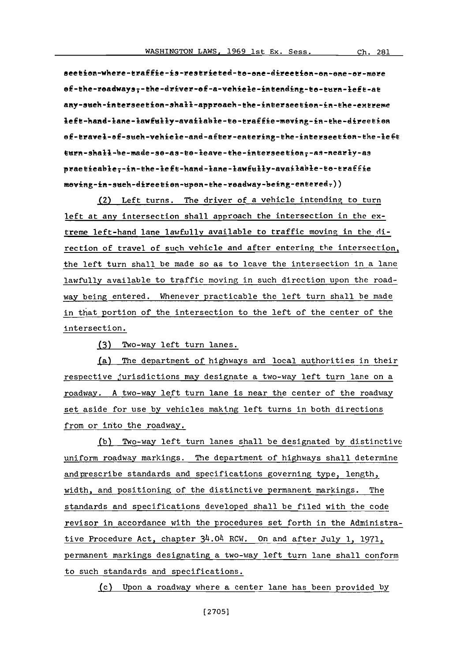seetion-where-traffie-is-restrieted-to-one-direction-on-one-or-more ef-the-readways:-the-driver-ef-a-vehiele-intending-to-turn-left-at any-such-intersection-shall-approach-the-intersection-in-the-extreme left-hand-lane-lawfully-available-to-traffie-moving-in-the-direction of-travel-of-such-vehicle-and-after-entering-the-intersection-the-left turn-shall-be-made-so-as-to-leave-the-interseetion;-as-nearly-as praeiealeTirithelef-liad-lme-awiill-aviler-s-teafy moving-in-such-direction-upon-the-roadway-being-entered-))

(2) Left turns. The driver of a vehicle intending to turn left at any intersection shall approach the intersection in the extreme left-hand lane lawfully available to traffic moving in the direction of travel of such vehicle and after entering the intersection, the left turn shall be made so as to leave the intersection in a lane lawfully available to traffic moving in such direction upon the roadway being entered. Whenever practicable the left turn shall be made in that portion of the intersection to the left of the center of the intersection.

**(3)** Two-way left turn lanes.

(a) The department of highways ani local authorities in their respective jurisdictions may designate a two-way left turn lane on a roadway. **A** two-way left turn lane is near the center of the roadway set aside for use **by** vehicles making left turns in both directions from or into the roadway.

**(b)** Two-way left turn lanes shall be designated **by** distinctive uniform roadway markings. The department of highways shall determine and prescribe standards and specifications governing type, length, width, and positioning of the distinctive permanent markings. The standards and specifications developed shall be filed with the code revisor in accordance with the procedures set forth in the Administrative Procedure Act, chapter 34.04 ROW. On and after July **1, 1971,** permanent markings designating a two-way left turn lane shall conform to such standards and specifications.

(c) Upon a roadway where a center lane has been provided **by**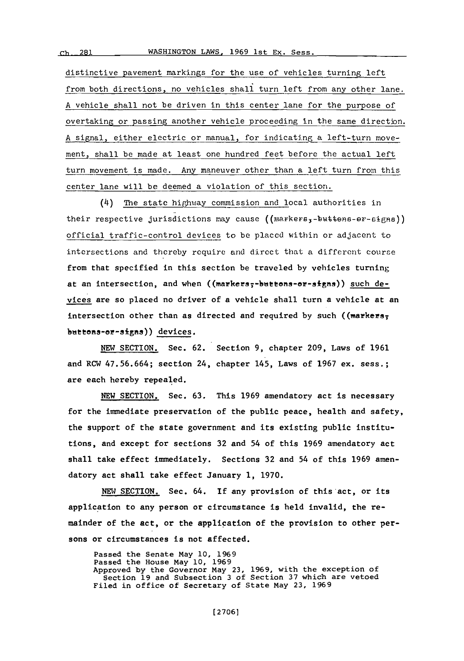distinctive pavement markings for the use of vehicles turning left from both directions, no vehicles shall turn left from any other lane. **A** vehicle shall not be driven in this center lane for the purpose of overtaking or passing another vehicle proceeding in the same direction. **A** signal, either electric or manual, for indicating a left-turn movement, shall be made at least one hundred feet before the actual left turn movement is made. Any maneuver other than a left turn from this center lane will be deemed a violation of this section.

(4) The state highway commission and local authorities in their respective jurisdictions may cause  $((\text{max} + \text{max} + \text{max} + \text{min}))$ official traffic-control devices to **be** placed within or adjacent to intersections and thereby require and direct that a different course from that specified in this section be traveled **by** vehicles turning at an intersection, and when ((markers;-buttons-or-signs)) such devices are so placed no driver of a vehicle shall turn a vehicle at an intersection other than as directed and required **by** such ((markers; buttons-or-signs)) devices.

**NEW SECTION.** Sec. **62.** Section **9,** chapter **209,** Laws of **1961** and RCW **47.56.664;** section 24, chapter 145, Laws of **1967** ex. sess.; are each hereby repealed.

**NEW** SECTION. Sec. **63.** This **1969** amendatory act is necessary for the immediate preservation of the public peace, health and safety, the support of the state government and its existing public institutions, and except for sections **32** and 54 of this **1969** amendatory act shall take effect immediately. Sections **32** and 54 of this **1969** amendatory act shall take effect January **1, 1970.**

**NEW** SECTION. Sec. 64. **If** any provision of this act, or its application to any person or circumstance is held invalid, the remainder of the act, or the application of the provision to other persons or circumstances is not affected.

Passed the Senate May **10, 1969** Passed the House may **10, 1969** Approved **by** the Governor May **23, 1969,** with the exception of Section **19** and Subsection **3** of Section **37** which are vetoed Filed in office of Secretary of State May **23, 1969**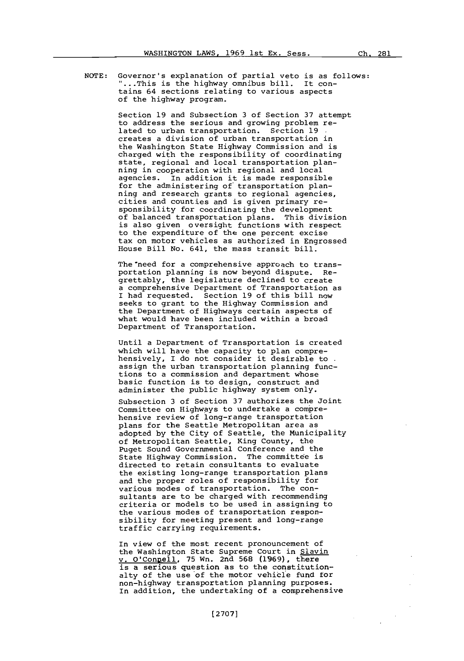**NOTE:** Governor's explanation of partial veto is as follows: ...This is the highway omnibus bill. It contains 64 sections relating to various aspects of the highway program.

> Section **19** and Subsection **23** of Section **37** attempt to address the serious and growing problem related to urban transportation. Section **19** creates a division of urban transportation in the Washington State Highway Commission and is charged with the responsibility of coordinating state, regional and local transportation planning in cooperation with regional and local agencies. In addition it is made responsible for the administering of transportation planning and research grants to regional agencies, cities and counties and is given primary responsibility for coordinating the development of balanced transportation plans. This division is also given oversight functions with respect to the expenditure of the one percent excise tax on motor vehicles as authorized in Engrossed House Bill No. 641, the mass transit bill.

The need for a comprehensive approach to transportation planning is now beyond dispute. Regrettably, the legislature declined to create a comprehensive Department of Transportation as I had requested. Section **19** of this bill now seeks to grant to the Highway Commission and the Department of Highways certain aspects of what would have been included within a broad Department of Transportation.

Until a Department of Transportation is created which will have the capacity to plan comprehensively, I do not consider it desirable to assign the urban transportation planning functions to a commission and department whose basic function is to design, construct and administer the public highway system only.

Subsection **3** of Section **37** authorizes the Joint Committee on Highways to undertake a comprehensive review of long-range transportation plans for the Seattle Metropolitan area as adopted **by** the City of Seattle, the Municipality of Metropolitan Seattle, King County, the Puget Sound Governmental Conference and the State Highway Commission. The committee is directed to retain consultants to evaluate the existing long-range transportation plans and the proper roles of responsibility for various modes of transportation. The consultants are to be charged with recommending criteria or models to be used in assigning to the various modes of transportation responsibility for meeting present and long-range traffic carrying requirements.

In view of the most recent pronouncement of the Washington State Supreme Court in Slavin v. O'Conpell, **75** Wn. 2nd **568 (1969),** there is a serious question as to the constitutionalty of the use of the motor vehicle fund for non-highway transportation planning purposes.<br>In addition, the undertaking of a comprehensive